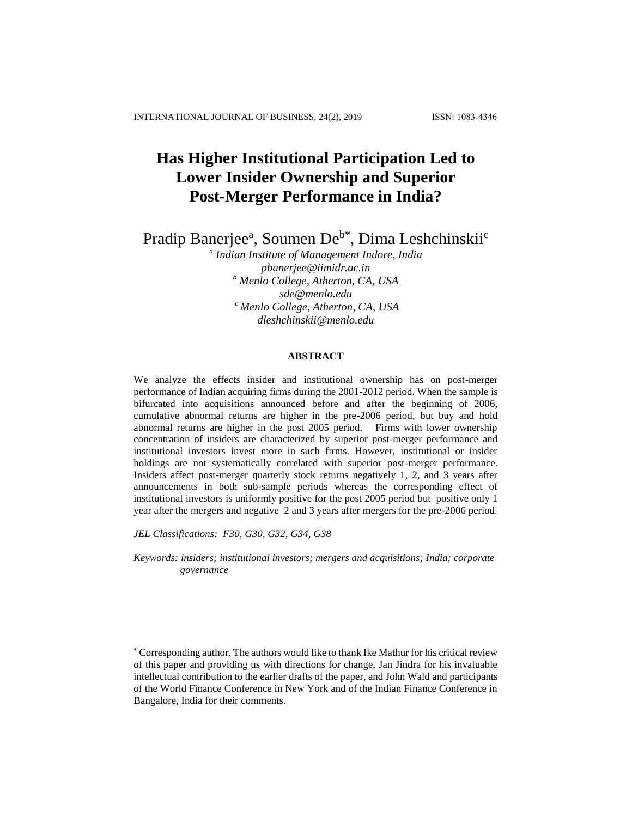# **Has Higher Institutional Participation Led to Lower Insider Ownership and Superior Post-Merger Performance in India?**

Pradip Banerjee<sup>a</sup>, Soumen De<sup>b\*</sup>, Dima Leshchinskii<sup>c</sup>

*a Indian Institute of Management Indore, India [pbanerjee@iimidr.ac.in](mailto:pbanerjee@iimidr.ac.in) <sup>b</sup> Menlo College, Atherton, CA, USA [sde@menlo.edu](mailto:sde@menlo.edu) <sup>c</sup> Menlo College, Atherton, CA, USA [dleshchinskii@menlo.edu](mailto:dleshchinskii@menlo.edu)*

# **ABSTRACT**

We analyze the effects insider and institutional ownership has on post-merger performance of Indian acquiring firms during the 2001-2012 period. When the sample is bifurcated into acquisitions announced before and after the beginning of 2006, cumulative abnormal returns are higher in the pre-2006 period, but buy and hold abnormal returns are higher in the post 2005 period. Firms with lower ownership concentration of insiders are characterized by superior post-merger performance and institutional investors invest more in such firms. However, institutional or insider holdings are not systematically correlated with superior post-merger performance. Insiders affect post-merger quarterly stock returns negatively 1, 2, and 3 years after announcements in both sub-sample periods whereas the corresponding effect of institutional investors is uniformly positive for the post 2005 period but positive only 1 year after the mergers and negative 2 and 3 years after mergers for the pre-2006 period.

*JEL Classifications: F30, G30, G32, G34, G38*

*Keywords: insiders; institutional investors; mergers and acquisitions; India; corporate governance*

<sup>\*</sup> Corresponding author. The authors would like to thank Ike Mathur for his critical review of this paper and providing us with directions for change, Jan Jindra for his invaluable intellectual contribution to the earlier drafts of the paper, and John Wald and participants of the World Finance Conference in New York and of the Indian Finance Conference in Bangalore, India for their comments.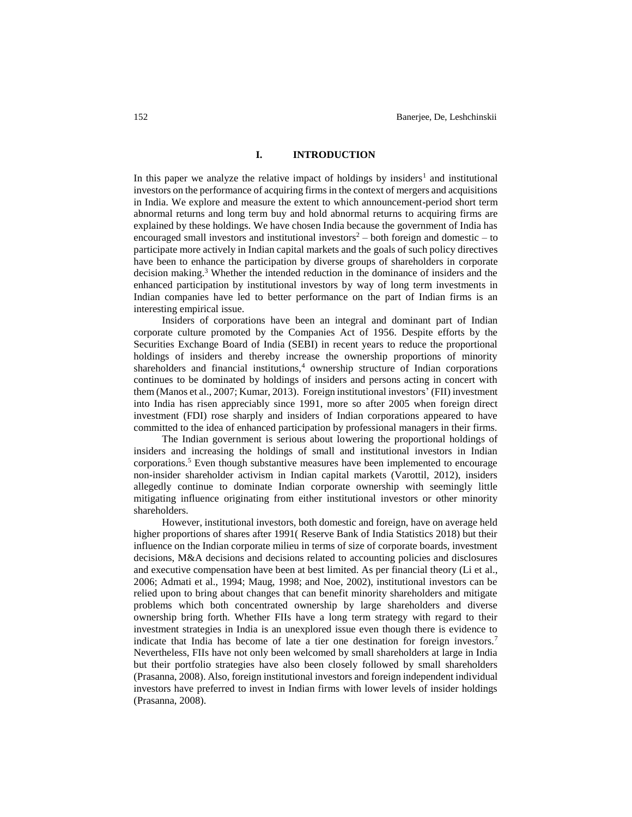#### **I. INTRODUCTION**

In this paper we analyze the relative impact of holdings by insiders<sup>1</sup> and institutional investors on the performance of acquiring firms in the context of mergers and acquisitions in India. We explore and measure the extent to which announcement-period short term abnormal returns and long term buy and hold abnormal returns to acquiring firms are explained by these holdings. We have chosen India because the government of India has encouraged small investors and institutional investors<sup>2</sup> – both foreign and domestic – to participate more actively in Indian capital markets and the goals of such policy directives have been to enhance the participation by diverse groups of shareholders in corporate decision making. <sup>3</sup> Whether the intended reduction in the dominance of insiders and the enhanced participation by institutional investors by way of long term investments in Indian companies have led to better performance on the part of Indian firms is an interesting empirical issue.

Insiders of corporations have been an integral and dominant part of Indian corporate culture promoted by the Companies Act of 1956. Despite efforts by the Securities Exchange Board of India (SEBI) in recent years to reduce the proportional holdings of insiders and thereby increase the ownership proportions of minority shareholders and financial institutions, $4$  ownership structure of Indian corporations continues to be dominated by holdings of insiders and persons acting in concert with them (Manos et al., 2007; Kumar, 2013). Foreign institutional investors' (FII) investment into India has risen appreciably since 1991, more so after 2005 when foreign direct investment (FDI) rose sharply and insiders of Indian corporations appeared to have committed to the idea of enhanced participation by professional managers in their firms.

The Indian government is serious about lowering the proportional holdings of insiders and increasing the holdings of small and institutional investors in Indian corporations.<sup>5</sup> Even though substantive measures have been implemented to encourage non-insider shareholder activism in Indian capital markets (Varottil, 2012), insiders allegedly continue to dominate Indian corporate ownership with seemingly little mitigating influence originating from either institutional investors or other minority shareholders.

However, institutional investors, both domestic and foreign, have on average held higher proportions of shares after 1991( Reserve Bank of India Statistics 2018) but their influence on the Indian corporate milieu in terms of size of corporate boards, investment decisions, M&A decisions and decisions related to accounting policies and disclosures and executive compensation have been at best limited. As per financial theory (Li et al., 2006; Admati et al., 1994; Maug, 1998; and Noe, 2002), institutional investors can be relied upon to bring about changes that can benefit minority shareholders and mitigate problems which both concentrated ownership by large shareholders and diverse ownership bring forth. Whether FIIs have a long term strategy with regard to their investment strategies in India is an unexplored issue even though there is evidence to indicate that India has become of late a tier one destination for foreign investors.<sup>7</sup> Nevertheless, FIIs have not only been welcomed by small shareholders at large in India but their portfolio strategies have also been closely followed by small shareholders (Prasanna, 2008). Also, foreign institutional investors and foreign independent individual investors have preferred to invest in Indian firms with lower levels of insider holdings (Prasanna, 2008).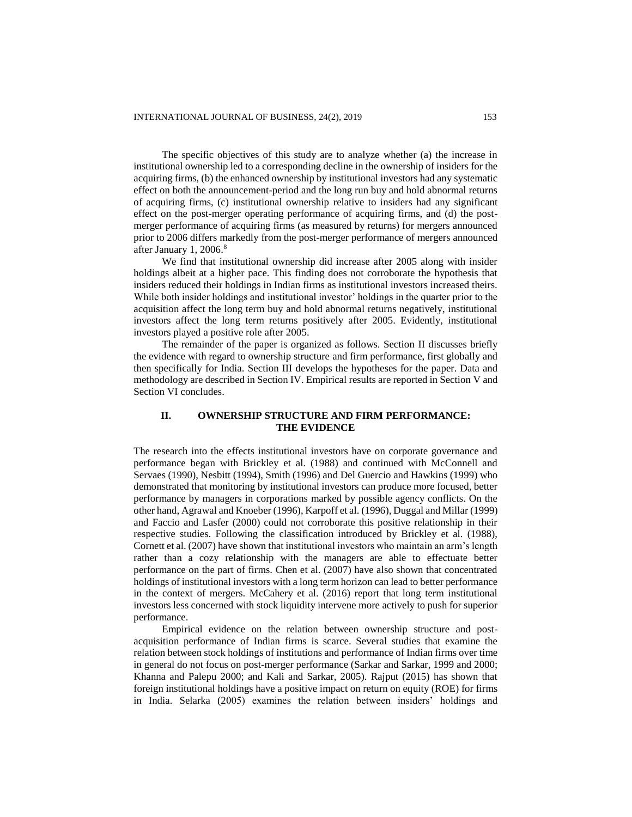The specific objectives of this study are to analyze whether (a) the increase in institutional ownership led to a corresponding decline in the ownership of insiders for the acquiring firms, (b) the enhanced ownership by institutional investors had any systematic effect on both the announcement-period and the long run buy and hold abnormal returns of acquiring firms, (c) institutional ownership relative to insiders had any significant effect on the post-merger operating performance of acquiring firms, and (d) the postmerger performance of acquiring firms (as measured by returns) for mergers announced prior to 2006 differs markedly from the post-merger performance of mergers announced after January 1, 2006.<sup>8</sup>

We find that institutional ownership did increase after 2005 along with insider holdings albeit at a higher pace. This finding does not corroborate the hypothesis that insiders reduced their holdings in Indian firms as institutional investors increased theirs. While both insider holdings and institutional investor' holdings in the quarter prior to the acquisition affect the long term buy and hold abnormal returns negatively, institutional investors affect the long term returns positively after 2005. Evidently, institutional investors played a positive role after 2005.

The remainder of the paper is organized as follows. Section II discusses briefly the evidence with regard to ownership structure and firm performance, first globally and then specifically for India. Section III develops the hypotheses for the paper. Data and methodology are described in Section IV. Empirical results are reported in Section V and Section VI concludes.

# **II. OWNERSHIP STRUCTURE AND FIRM PERFORMANCE: THE EVIDENCE**

The research into the effects institutional investors have on corporate governance and performance began with Brickley et al. (1988) and continued with McConnell and Servaes (1990), Nesbitt (1994), Smith (1996) and Del Guercio and Hawkins (1999) who demonstrated that monitoring by institutional investors can produce more focused, better performance by managers in corporations marked by possible agency conflicts. On the other hand, Agrawal and Knoeber (1996), Karpoff et al. (1996), Duggal and Millar (1999) and Faccio and Lasfer (2000) could not corroborate this positive relationship in their respective studies. Following the classification introduced by Brickley et al. (1988), Cornett et al. (2007) have shown that institutional investors who maintain an arm's length rather than a cozy relationship with the managers are able to effectuate better performance on the part of firms. Chen et al. (2007) have also shown that concentrated holdings of institutional investors with a long term horizon can lead to better performance in the context of mergers. McCahery et al. (2016) report that long term institutional investors less concerned with stock liquidity intervene more actively to push for superior performance.

Empirical evidence on the relation between ownership structure and postacquisition performance of Indian firms is scarce. Several studies that examine the relation between stock holdings of institutions and performance of Indian firms over time in general do not focus on post-merger performance (Sarkar and Sarkar, 1999 and 2000; Khanna and Palepu 2000; and Kali and Sarkar, 2005). Rajput (2015) has shown that foreign institutional holdings have a positive impact on return on equity (ROE) for firms in India. Selarka (2005) examines the relation between insiders' holdings and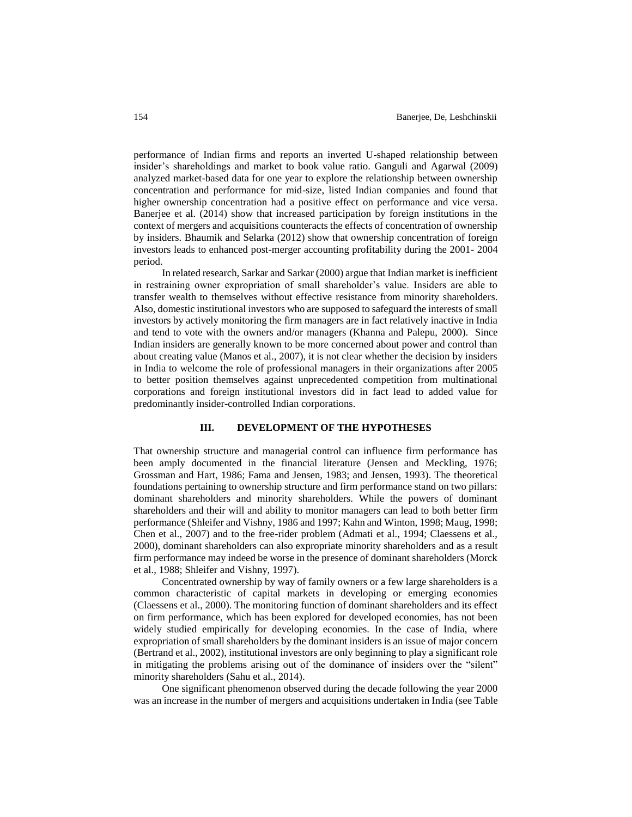performance of Indian firms and reports an inverted U-shaped relationship between insider's shareholdings and market to book value ratio. Ganguli and Agarwal (2009) analyzed market-based data for one year to explore the relationship between ownership concentration and performance for mid-size, listed Indian companies and found that higher ownership concentration had a positive effect on performance and vice versa. Banerjee et al. (2014) show that increased participation by foreign institutions in the context of mergers and acquisitions counteracts the effects of concentration of ownership by insiders. Bhaumik and Selarka (2012) show that ownership concentration of foreign investors leads to enhanced post-merger accounting profitability during the 2001- 2004 period.

In related research, Sarkar and Sarkar (2000) argue that Indian market is inefficient in restraining owner expropriation of small shareholder's value. Insiders are able to transfer wealth to themselves without effective resistance from minority shareholders. Also, domestic institutional investors who are supposed to safeguard the interests of small investors by actively monitoring the firm managers are in fact relatively inactive in India and tend to vote with the owners and/or managers (Khanna and Palepu, 2000). Since Indian insiders are generally known to be more concerned about power and control than about creating value (Manos et al., 2007), it is not clear whether the decision by insiders in India to welcome the role of professional managers in their organizations after 2005 to better position themselves against unprecedented competition from multinational corporations and foreign institutional investors did in fact lead to added value for predominantly insider-controlled Indian corporations.

#### **III. DEVELOPMENT OF THE HYPOTHESES**

That ownership structure and managerial control can influence firm performance has been amply documented in the financial literature (Jensen and Meckling, 1976; Grossman and Hart, 1986; Fama and Jensen, 1983; and Jensen, 1993). The theoretical foundations pertaining to ownership structure and firm performance stand on two pillars: dominant shareholders and minority shareholders. While the powers of dominant shareholders and their will and ability to monitor managers can lead to both better firm performance (Shleifer and Vishny, 1986 and 1997; Kahn and Winton, 1998; Maug, 1998; Chen et al., 2007) and to the free-rider problem (Admati et al., 1994; Claessens et al., 2000), dominant shareholders can also expropriate minority shareholders and as a result firm performance may indeed be worse in the presence of dominant shareholders (Morck et al., 1988; Shleifer and Vishny, 1997).

Concentrated ownership by way of family owners or a few large shareholders is a common characteristic of capital markets in developing or emerging economies (Claessens et al., 2000). The monitoring function of dominant shareholders and its effect on firm performance, which has been explored for developed economies, has not been widely studied empirically for developing economies. In the case of India, where expropriation of small shareholders by the dominant insiders is an issue of major concern (Bertrand et al., 2002), institutional investors are only beginning to play a significant role in mitigating the problems arising out of the dominance of insiders over the "silent" minority shareholders (Sahu et al., 2014).

One significant phenomenon observed during the decade following the year 2000 was an increase in the number of mergers and acquisitions undertaken in India (see Table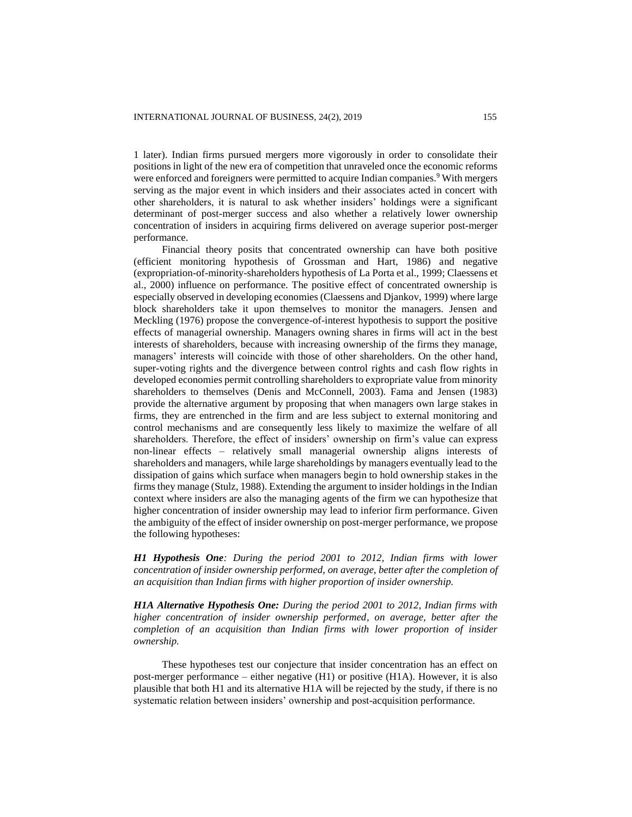1 later). Indian firms pursued mergers more vigorously in order to consolidate their positions in light of the new era of competition that unraveled once the economic reforms were enforced and foreigners were permitted to acquire Indian companies.<sup>9</sup> With mergers serving as the major event in which insiders and their associates acted in concert with other shareholders, it is natural to ask whether insiders' holdings were a significant determinant of post-merger success and also whether a relatively lower ownership concentration of insiders in acquiring firms delivered on average superior post-merger performance.

Financial theory posits that concentrated ownership can have both positive (efficient monitoring hypothesis of Grossman and Hart, 1986) and negative (expropriation-of-minority-shareholders hypothesis of La Porta et al., 1999; Claessens et al., 2000) influence on performance. The positive effect of concentrated ownership is especially observed in developing economies (Claessens and Djankov, 1999) where large block shareholders take it upon themselves to monitor the managers. Jensen and Meckling (1976) propose the convergence-of-interest hypothesis to support the positive effects of managerial ownership. Managers owning shares in firms will act in the best interests of shareholders, because with increasing ownership of the firms they manage, managers' interests will coincide with those of other shareholders. On the other hand, super-voting rights and the divergence between control rights and cash flow rights in developed economies permit controlling shareholders to expropriate value from minority shareholders to themselves (Denis and McConnell, 2003). Fama and Jensen (1983) provide the alternative argument by proposing that when managers own large stakes in firms, they are entrenched in the firm and are less subject to external monitoring and control mechanisms and are consequently less likely to maximize the welfare of all shareholders. Therefore, the effect of insiders' ownership on firm's value can express non-linear effects – relatively small managerial ownership aligns interests of shareholders and managers, while large shareholdings by managers eventually lead to the dissipation of gains which surface when managers begin to hold ownership stakes in the firms they manage (Stulz, 1988). Extending the argument to insider holdings in the Indian context where insiders are also the managing agents of the firm we can hypothesize that higher concentration of insider ownership may lead to inferior firm performance. Given the ambiguity of the effect of insider ownership on post-merger performance, we propose the following hypotheses:

*H1 Hypothesis One: During the period 2001 to 2012, Indian firms with lower concentration of insider ownership performed, on average, better after the completion of an acquisition than Indian firms with higher proportion of insider ownership.*

*H1A Alternative Hypothesis One: During the period 2001 to 2012, Indian firms with higher concentration of insider ownership performed, on average, better after the completion of an acquisition than Indian firms with lower proportion of insider ownership.*

These hypotheses test our conjecture that insider concentration has an effect on post-merger performance – either negative (H1) or positive (H1A). However, it is also plausible that both H1 and its alternative H1A will be rejected by the study, if there is no systematic relation between insiders' ownership and post-acquisition performance.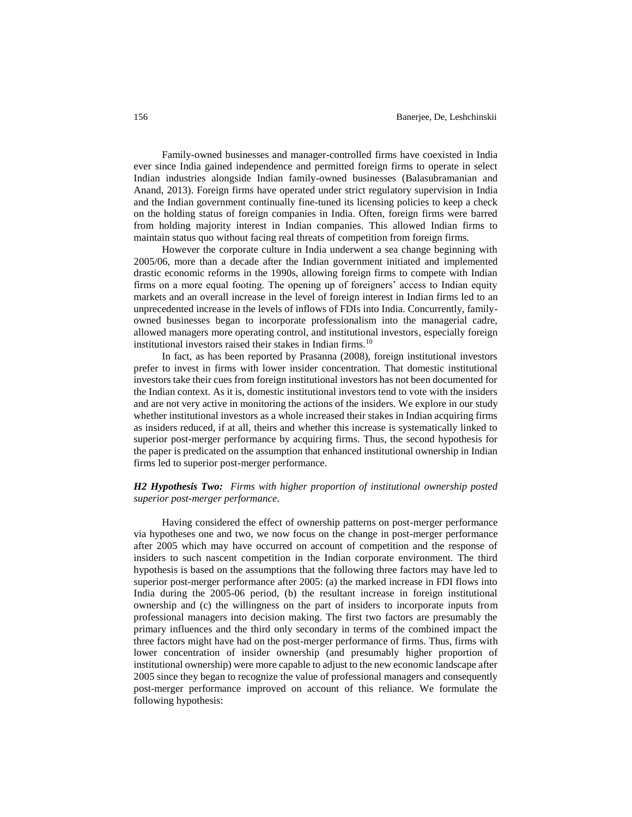Family-owned businesses and manager-controlled firms have coexisted in India ever since India gained independence and permitted foreign firms to operate in select Indian industries alongside Indian family-owned businesses (Balasubramanian and Anand, 2013). Foreign firms have operated under strict regulatory supervision in India and the Indian government continually fine-tuned its licensing policies to keep a check on the holding status of foreign companies in India. Often, foreign firms were barred from holding majority interest in Indian companies. This allowed Indian firms to maintain status quo without facing real threats of competition from foreign firms.

However the corporate culture in India underwent a sea change beginning with 2005/06, more than a decade after the Indian government initiated and implemented drastic economic reforms in the 1990s, allowing foreign firms to compete with Indian firms on a more equal footing. The opening up of foreigners' access to Indian equity markets and an overall increase in the level of foreign interest in Indian firms led to an unprecedented increase in the levels of inflows of FDIs into India. Concurrently, familyowned businesses began to incorporate professionalism into the managerial cadre, allowed managers more operating control, and institutional investors, especially foreign institutional investors raised their stakes in Indian firms.<sup>10</sup>

In fact, as has been reported by Prasanna (2008), foreign institutional investors prefer to invest in firms with lower insider concentration. That domestic institutional investors take their cues from foreign institutional investors has not been documented for the Indian context. As it is, domestic institutional investors tend to vote with the insiders and are not very active in monitoring the actions of the insiders. We explore in our study whether institutional investors as a whole increased their stakes in Indian acquiring firms as insiders reduced, if at all, theirs and whether this increase is systematically linked to superior post-merger performance by acquiring firms. Thus, the second hypothesis for the paper is predicated on the assumption that enhanced institutional ownership in Indian firms led to superior post-merger performance.

# *H2 Hypothesis Two: Firms with higher proportion of institutional ownership posted superior post-merger performance.*

Having considered the effect of ownership patterns on post-merger performance via hypotheses one and two, we now focus on the change in post-merger performance after 2005 which may have occurred on account of competition and the response of insiders to such nascent competition in the Indian corporate environment. The third hypothesis is based on the assumptions that the following three factors may have led to superior post-merger performance after 2005: (a) the marked increase in FDI flows into India during the 2005-06 period, (b) the resultant increase in foreign institutional ownership and (c) the willingness on the part of insiders to incorporate inputs from professional managers into decision making. The first two factors are presumably the primary influences and the third only secondary in terms of the combined impact the three factors might have had on the post-merger performance of firms. Thus, firms with lower concentration of insider ownership (and presumably higher proportion of institutional ownership) were more capable to adjust to the new economic landscape after 2005 since they began to recognize the value of professional managers and consequently post-merger performance improved on account of this reliance. We formulate the following hypothesis: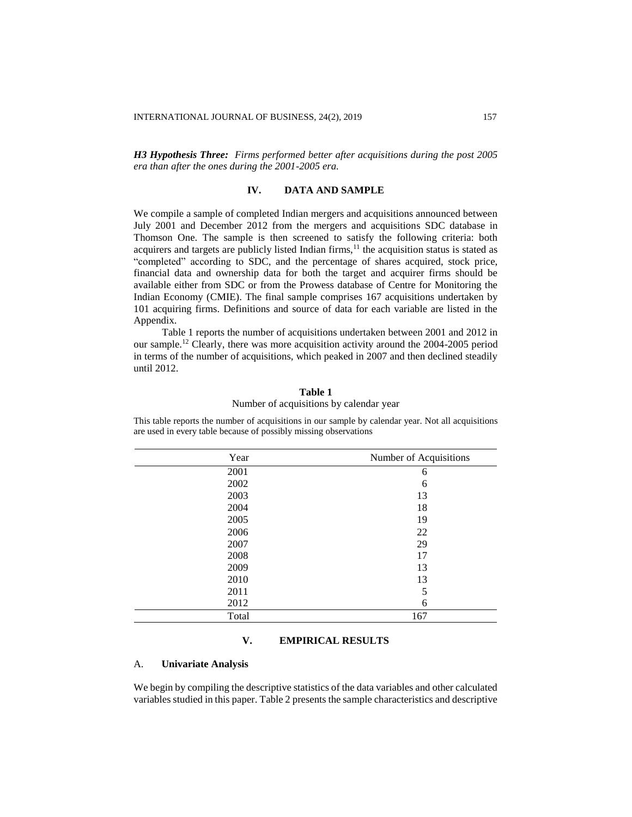*H3 Hypothesis Three: Firms performed better after acquisitions during the post 2005 era than after the ones during the 2001-2005 era.*

# **IV. DATA AND SAMPLE**

We compile a sample of completed Indian mergers and acquisitions announced between July 2001 and December 2012 from the mergers and acquisitions SDC database in Thomson One. The sample is then screened to satisfy the following criteria: both acquirers and targets are publicly listed Indian firms,<sup>11</sup> the acquisition status is stated as "completed" according to SDC, and the percentage of shares acquired, stock price, financial data and ownership data for both the target and acquirer firms should be available either from SDC or from the Prowess database of Centre for Monitoring the Indian Economy (CMIE). The final sample comprises 167 acquisitions undertaken by 101 acquiring firms. Definitions and source of data for each variable are listed in the Appendix.

Table 1 reports the number of acquisitions undertaken between 2001 and 2012 in our sample.<sup>12</sup> Clearly, there was more acquisition activity around the 2004-2005 period in terms of the number of acquisitions, which peaked in 2007 and then declined steadily until 2012.

# **Table 1**

# Number of acquisitions by calendar year

This table reports the number of acquisitions in our sample by calendar year. Not all acquisitions are used in every table because of possibly missing observations

| Number of Acquisitions |
|------------------------|
| 6                      |
| 6                      |
| 13                     |
| 18                     |
| 19                     |
| 22                     |
| 29                     |
| 17                     |
| 13                     |
| 13                     |
| 5                      |
| 6                      |
| 167                    |
|                        |

# **V. EMPIRICAL RESULTS**

## A. **Univariate Analysis**

We begin by compiling the descriptive statistics of the data variables and other calculated variables studied in this paper. Table 2 presents the sample characteristics and descriptive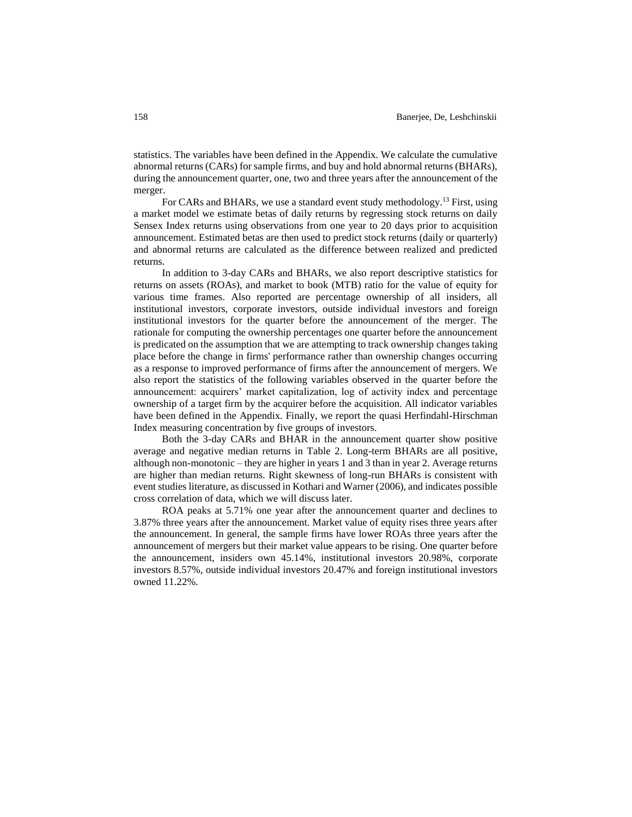statistics. The variables have been defined in the Appendix. We calculate the cumulative abnormal returns (CARs) for sample firms, and buy and hold abnormal returns (BHARs), during the announcement quarter, one, two and three years after the announcement of the merger.

For CARs and BHARs, we use a standard event study methodology.<sup>13</sup> First, using a market model we estimate betas of daily returns by regressing stock returns on daily Sensex Index returns using observations from one year to 20 days prior to acquisition announcement. Estimated betas are then used to predict stock returns (daily or quarterly) and abnormal returns are calculated as the difference between realized and predicted returns.

In addition to 3-day CARs and BHARs, we also report descriptive statistics for returns on assets (ROAs), and market to book (MTB) ratio for the value of equity for various time frames. Also reported are percentage ownership of all insiders, all institutional investors, corporate investors, outside individual investors and foreign institutional investors for the quarter before the announcement of the merger. The rationale for computing the ownership percentages one quarter before the announcement is predicated on the assumption that we are attempting to track ownership changes taking place before the change in firms' performance rather than ownership changes occurring as a response to improved performance of firms after the announcement of mergers. We also report the statistics of the following variables observed in the quarter before the announcement: acquirers' market capitalization, log of activity index and percentage ownership of a target firm by the acquirer before the acquisition. All indicator variables have been defined in the Appendix. Finally, we report the quasi Herfindahl-Hirschman Index measuring concentration by five groups of investors.

Both the 3-day CARs and BHAR in the announcement quarter show positive average and negative median returns in Table 2. Long-term BHARs are all positive, although non-monotonic – they are higher in years 1 and 3 than in year 2. Average returns are higher than median returns. Right skewness of long-run BHARs is consistent with event studies literature, as discussed in Kothari and Warner (2006), and indicates possible cross correlation of data, which we will discuss later.

ROA peaks at 5.71% one year after the announcement quarter and declines to 3.87% three years after the announcement. Market value of equity rises three years after the announcement. In general, the sample firms have lower ROAs three years after the announcement of mergers but their market value appears to be rising. One quarter before the announcement, insiders own 45.14%, institutional investors 20.98%, corporate investors 8.57%, outside individual investors 20.47% and foreign institutional investors owned 11.22%.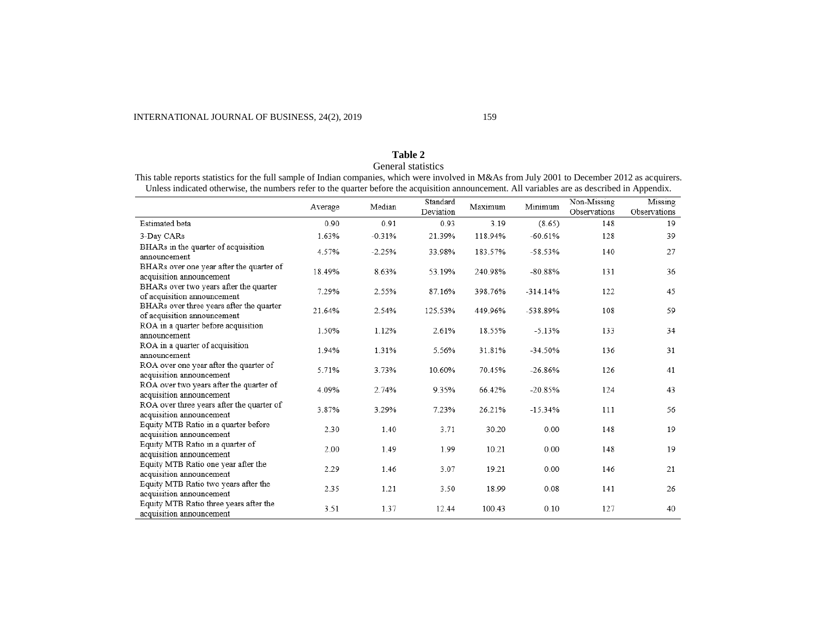# **Table 2** General statistics

This table reports statistics for the full sample of Indian companies, which were involved in M&As from July 2001 to December 2012 as acquirers. Unless indicated otherwise, the numbers refer to the quarter before the acquisition announcement. All variables are as described in Appendix.

|                                                                         | Average | Median   | Standard<br>Deviation | Maximum | Minimum    | Non-Missing<br>Observations | Missing<br>Observations |
|-------------------------------------------------------------------------|---------|----------|-----------------------|---------|------------|-----------------------------|-------------------------|
| Estimated beta                                                          | 0.90    | 0.91     | 0.93                  | 3.19    | (8.65)     | 148                         | 19                      |
| 3-Day CARs                                                              | 1.63%   | $-0.31%$ | 21.39%                | 118.94% | $-60.61%$  | 128                         | 39                      |
| BHARs in the quarter of acquisition<br>announcement                     | 4.57%   | $-2.25%$ | 33.98%                | 183.57% | $-58.53%$  | 140                         | 27                      |
| BHARs over one year after the quarter of<br>acquisition announcement    | 18.49%  | 8.63%    | 53.19%                | 240.98% | $-80.88%$  | 131                         | 36                      |
| BHARs over two years after the quarter<br>of acquisition announcement   | 7.29%   | 2.55%    | 87.16%                | 398.76% | $-314.14%$ | 122                         | 45                      |
| BHARs over three years after the quarter<br>of acquisition announcement | 21.64%  | 2.54%    | 125.53%               | 449.96% | -538.89%   | 108                         | 59                      |
| ROA in a quarter before acquisition<br>announcement                     | 1.50%   | 1.12%    | 2.61%                 | 18.55%  | $-5.13%$   | 133                         | 34                      |
| ROA in a quarter of acquisition<br>announcement                         | 1.94%   | 1.31%    | 5.56%                 | 31.81%  | $-34.50%$  | 136                         | 31                      |
| ROA over one year after the quarter of<br>acquisition announcement      | 5.71%   | 3.73%    | 10.60%                | 70.45%  | $-26.86%$  | 126                         | 41                      |
| ROA over two years after the quarter of<br>acquisition announcement     | 4.09%   | 2.74%    | 9.35%                 | 66.42%  | $-20.85%$  | 124                         | 43                      |
| ROA over three years after the quarter of<br>acquisition announcement   | 3.87%   | 3.29%    | 7.23%                 | 26.21%  | $-15.34%$  | 111                         | 56                      |
| Equity MTB Ratio in a quarter before<br>acquisition announcement        | 2.30    | 1.40     | 3.71                  | 30.20   | 0.00       | 148                         | 19                      |
| Equity MTB Ratio in a quarter of<br>acquisition announcement            | 2.00    | 1.49     | 1.99                  | 10.21   | 0.00       | 148                         | 19                      |
| Equity MTB Ratio one year after the<br>acquisition announcement         | 2.29    | 1.46     | 3.07                  | 19.21   | 0.00       | 146                         | 21                      |
| Equity MTB Ratio two years after the<br>acquisition announcement        | 2.35    | 1.21     | 3.50                  | 18.99   | 0.08       | 141                         | 26                      |
| Equity MTB Ratio three years after the<br>acquisition announcement      | 3.51    | 1.37     | 12.44                 | 100.43  | 0.10       | 127                         | 40                      |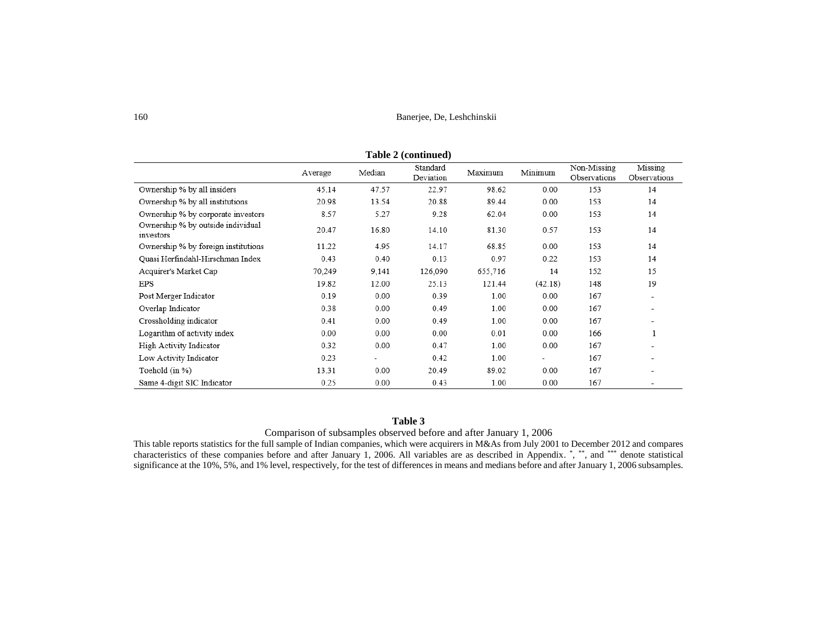| Table 2 (continued)                            |         |                          |                       |         |         |                             |                         |  |  |
|------------------------------------------------|---------|--------------------------|-----------------------|---------|---------|-----------------------------|-------------------------|--|--|
|                                                | Average | Median                   | Standard<br>Deviation | Maximum | Minimum | Non-Missing<br>Observations | Missing<br>Observations |  |  |
| Ownership % by all insiders                    | 45.14   | 47.57                    | 22.97                 | 98.62   | 0.00    | 153                         | 14                      |  |  |
| Ownership % by all institutions                | 20.98   | 13.54                    | 20.88                 | 89.44   | 0.00    | 153                         | 14                      |  |  |
| Ownership % by corporate investors             | 8.57    | 5.27                     | 9.28                  | 62.04   | 0.00    | 153                         | 14                      |  |  |
| Ownership % by outside individual<br>investors | 20.47   | 16.80                    | 14.10                 | 81.30   | 0.57    | 153                         | 14                      |  |  |
| Ownership % by foreign institutions            | 11.22   | 4.95                     | 14.17                 | 68.85   | 0.00    | 153                         | 14                      |  |  |
| Quasi Herfindahl-Hirschman Index               | 0.43    | 0.40                     | 0.13                  | 0.97    | 0.22    | 153                         | 14                      |  |  |
| Acquirer's Market Cap                          | 70,249  | 9,141                    | 126,090               | 655,716 | 14      | 152                         | 15                      |  |  |
| EPS                                            | 19.82   | 12.00                    | 25.13                 | 121.44  | (42.18) | 148                         | 19                      |  |  |
| Post Merger Indicator                          | 0.19    | 0.00                     | 0.39                  | 1.00    | 0.00    | 167                         | ۰                       |  |  |
| Overlap Indicator                              | 0.38    | 0.00                     | 0.49                  | 1.00    | 0.00    | 167                         | ۰                       |  |  |
| Crossholding indicator                         | 0.41    | 0.00                     | 0.49                  | 1.00    | 0.00    | 167                         | -                       |  |  |
| Logarithm of activity index                    | 0.00    | 0.00                     | 0.00                  | 0.01    | 0.00    | 166                         |                         |  |  |
| High Activity Indicator                        | 0.32    | 0.00                     | 0.47                  | 1.00    | 0.00    | 167                         | ۰                       |  |  |
| Low Activity Indicator                         | 0.23    | $\overline{\phantom{a}}$ | 0.42                  | 1.00    | ÷       | 167                         | ۰                       |  |  |
| Toehold (in %)                                 | 13.31   | 0.00                     | 20.49                 | 89.02   | 0.00    | 167                         | ۰                       |  |  |
| Same 4-digit SIC Indicator                     | 0.25    | 0.00                     | 0.43                  | 1.00    | 0.00    | 167                         |                         |  |  |

**Table 2 (continued)**

# **Table 3**

Comparison of subsamples observed before and after January 1, 2006

This table reports statistics for the full sample of Indian companies, which were acquirers in M&As from July 2001 to December 2012 and compares characteristics of these companies before and after January 1, 2006. All variables are as described in Appendix. \*, \*\*, and \*\*\* denote statistical significance at the 10%, 5%, and 1% level, respectively, for the test of differences in means and medians before and after January 1, 2006 subsamples.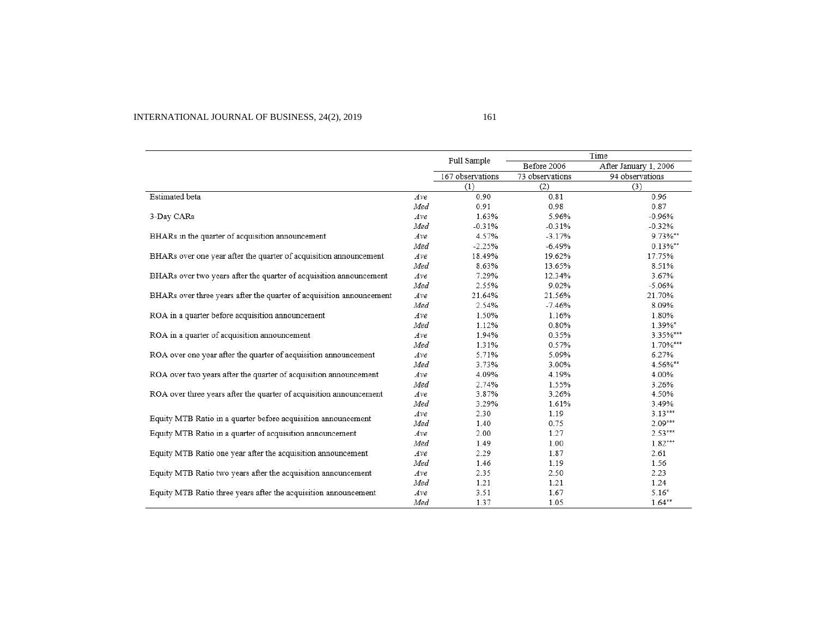# INTERNATIONAL JOURNAL OF BUSINESS, 24(2), 2019 161

|                                                                      |     |                  | Time<br>Full Sample |                       |  |
|----------------------------------------------------------------------|-----|------------------|---------------------|-----------------------|--|
|                                                                      |     |                  | Before 2006         | After January 1, 2006 |  |
|                                                                      |     | 167 observations | 73 observations     | 94 observations       |  |
|                                                                      |     | (1)              | (2)                 | (3)                   |  |
| Estimated beta                                                       | Ave | 0.90             | 0.81                | 0.96                  |  |
|                                                                      | Med | 0.91             | 0.98                | 0.87                  |  |
| 3-Day CARs                                                           | Ave | 1.63%            | 5.96%               | $-0.96%$              |  |
|                                                                      | Med | $-0.31%$         | $-0.31%$            | $-0.32%$              |  |
| BHARs in the quarter of acquisition announcement                     | Ave | 4.57%            | $-3.17%$            | 9.73%**               |  |
|                                                                      | Med | $-2.25%$         | $-6.49%$            | $0.13\%$ **           |  |
| BHARs over one year after the quarter of acquisition announcement    | Ave | 18.49%           | 19.62%              | 17.75%                |  |
|                                                                      | Med | 8.63%            | 13.65%              | 8.51%                 |  |
| BHARs over two years after the quarter of acquisition announcement   | Ave | 7.29%            | 12.34%              | 3.67%                 |  |
|                                                                      | Med | 2.55%            | 9.02%               | $-5.06%$              |  |
| BHARs over three years after the quarter of acquisition announcement | Ave | 21.64%           | 21.56%              | 21.70%                |  |
|                                                                      | Med | 2.54%            | $-7.46%$            | 8.09%                 |  |
| ROA in a quarter before acquisition announcement                     | Ave | 1.50%            | 1.16%               | 1.80%                 |  |
|                                                                      | Med | 1.12%            | 0.80%               | 1.39%*                |  |
| ROA in a quarter of acquisition announcement                         | Ave | 1.94%            | 0.35%               | 3.35%***              |  |
|                                                                      | Med | 1.31%            | 0.57%               | 1.70%***              |  |
| ROA over one year after the quarter of acquisition announcement      | Ave | 5.71%            | 5.09%               | 6.27%                 |  |
|                                                                      | Med | 3.73%            | 3.00%               | 4.56%**               |  |
| ROA over two years after the quarter of acquisition announcement     | Ave | 4.09%            | 4.19%               | 4.00%                 |  |
|                                                                      | Med | 2.74%            | 1.55%               | 3.26%                 |  |
| ROA over three years after the quarter of acquisition announcement   | Ave | 3.87%            | 3.26%               | 4.50%                 |  |
|                                                                      | Med | 3.29%            | 1.61%               | 3.49%                 |  |
| Equity MTB Ratio in a quarter before acquisition announcement        | Ave | 2.30             | 1.19                | $3.13***$             |  |
|                                                                      | Med | 1.40             | 0.75                | $2.09***$             |  |
| Equity MTB Ratio in a quarter of acquisition announcement            | Ave | 2.00             | 1.27                | $2.53***$             |  |
|                                                                      | Med | 1.49             | 1.00                | $1.82***$             |  |
| Equity MTB Ratio one year after the acquisition announcement         | Ave | 2.29             | 1.87                | 2.61                  |  |
|                                                                      | Med | 1.46             | 1.19                | 1.56                  |  |
| Equity MTB Ratio two years after the acquisition announcement        | Ave | 2.35             | 2.50                | 2.23                  |  |
|                                                                      | Med | 1.21             | 1.21                | 1.24                  |  |
| Equity MTB Ratio three years after the acquisition announcement      | Ave | 3.51             | 1.67                | $5.16*$               |  |
|                                                                      | Med | 1.37             | 1.05                | $1.64**$              |  |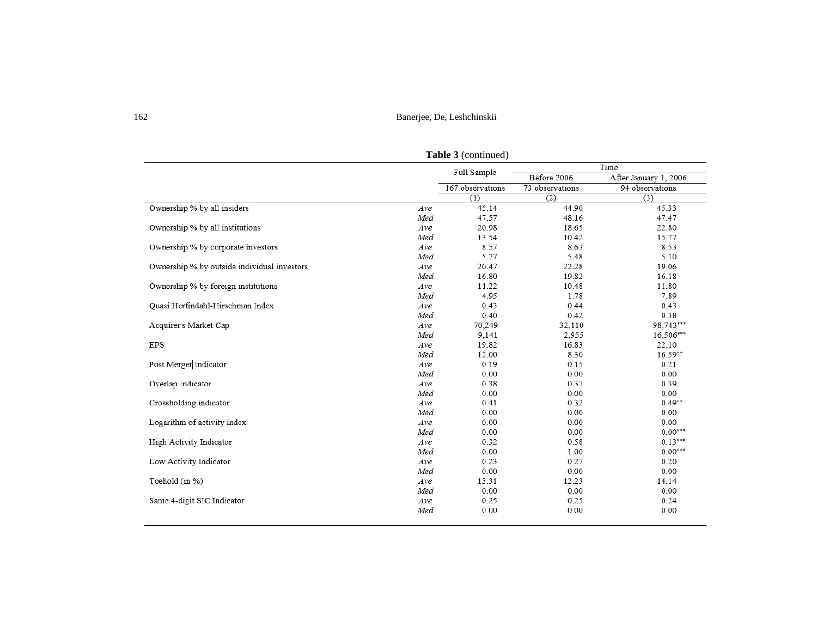|                                             |     | Full Sample      | Time            |                       |  |
|---------------------------------------------|-----|------------------|-----------------|-----------------------|--|
|                                             |     |                  | Before 2006     | After January 1, 2006 |  |
|                                             |     | 167 observations | 73 observations | 94 observations       |  |
|                                             |     | (1)              | (2)             | (3)                   |  |
| Ownership % by all insiders                 | Ave | 45.14            | 44.90           | 45.33                 |  |
|                                             | Med | 47.57            | 48.16           | 47.47                 |  |
| Ownership % by all institutions             | Ave | 20.98            | 18.65           | 22.80                 |  |
|                                             | Med | 13.54            | 10.42           | 15.77                 |  |
| Ownership % by corporate investors          | Ave | 8.57             | 8.63            | 8.53                  |  |
|                                             | Med | 5.27             | 5.48            | 5.10                  |  |
| Ownership % by outside individual investors | Ave | 20.47            | 22.28           | 19.06                 |  |
|                                             | Med | 16.80            | 19.82           | 16.18                 |  |
| Ownership % by foreign institutions         | Ave | 11.22            | 10.48           | 11.80                 |  |
|                                             | Med | 4.95             | 1.78            | 7.89                  |  |
| Quasi Herfindahl-Hirschman Index            | Ave | 0.43             | 0.44            | 0.43                  |  |
|                                             | Med | 0.40             | 0.42            | 0.38                  |  |
| Acquirer's Market Cap                       | Ave | 70,249           | 32,110          | 98,743***             |  |
|                                             | Med | 9,141            | 2,955           | 16,506***             |  |
| <b>EPS</b>                                  | Ave | 19.82            | 16.83           | 22.10                 |  |
|                                             | Med | 12.00            | 8.30            | $16.59**$             |  |
| Post Merger Indicator                       | Ave | 0.19             | 0.15            | 0.21                  |  |
|                                             | Med | 0.00             | 0.00            | 0.00                  |  |
| Overlap Indicator                           | Ave | 0.38             | 0.37            | 0.39                  |  |
|                                             | Med | 0.00             | 0.00            | 0.00                  |  |
| Crossholding indicator                      | Ave | 0.41             | 0.32            | $0.49**$              |  |
|                                             | Med | 0.00             | 0.00            | 0.00                  |  |
| Logarithm of activity index                 | Ave | 0.00             | 0.00            | 0.00                  |  |
|                                             | Med | 0.00             | 0.00            | $0.00***$             |  |
| High Activity Indicator                     | Ave | 0.32             | 0.58            | $0.13***$             |  |
|                                             | Med | 0.00             | 1.00            | $0.00***$             |  |
| Low Activity Indicator                      | Ave | 0.23             | 0.27            | 0.20                  |  |
|                                             | Med | 0.00             | 0.00            | 0.00                  |  |
| Toehold (in %)                              | Ave | 13.31            | 12.23           | 14.14                 |  |
|                                             | Med | 0.00             | 0.00            | 0.00                  |  |
| Same 4-digit SIC Indicator                  | Ave | 0.25             | 0.25            | 0.24                  |  |
|                                             | Med | 0.00             | 0.00            | 0.00                  |  |

**Table 3** (continued)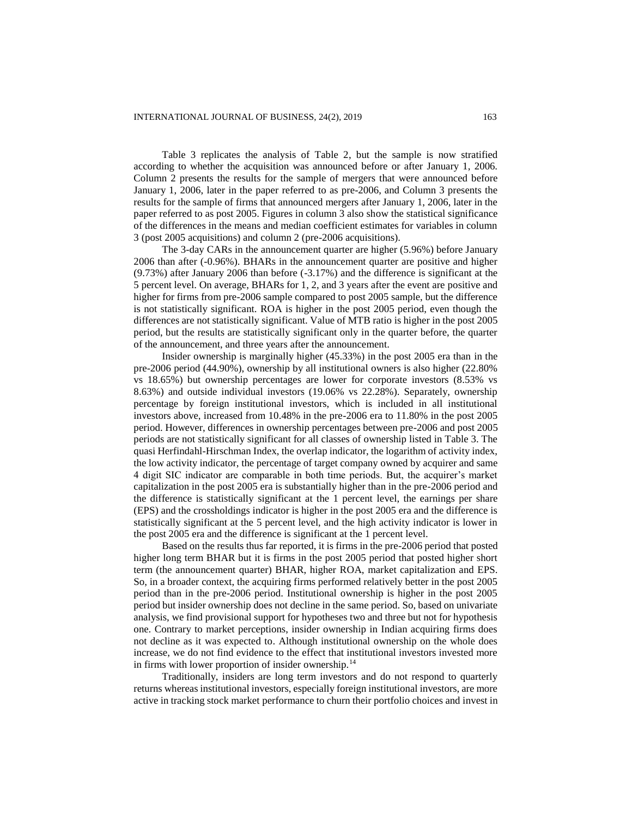Table 3 replicates the analysis of Table 2, but the sample is now stratified according to whether the acquisition was announced before or after January 1, 2006. Column 2 presents the results for the sample of mergers that were announced before January 1, 2006, later in the paper referred to as pre-2006, and Column 3 presents the results for the sample of firms that announced mergers after January 1, 2006, later in the paper referred to as post 2005. Figures in column 3 also show the statistical significance of the differences in the means and median coefficient estimates for variables in column 3 (post 2005 acquisitions) and column 2 (pre-2006 acquisitions).

The 3-day CARs in the announcement quarter are higher (5.96%) before January 2006 than after (-0.96%). BHARs in the announcement quarter are positive and higher (9.73%) after January 2006 than before (-3.17%) and the difference is significant at the 5 percent level. On average, BHARs for 1, 2, and 3 years after the event are positive and higher for firms from pre-2006 sample compared to post 2005 sample, but the difference is not statistically significant. ROA is higher in the post 2005 period, even though the differences are not statistically significant. Value of MTB ratio is higher in the post 2005 period, but the results are statistically significant only in the quarter before, the quarter of the announcement, and three years after the announcement.

Insider ownership is marginally higher (45.33%) in the post 2005 era than in the pre-2006 period (44.90%), ownership by all institutional owners is also higher (22.80% vs 18.65%) but ownership percentages are lower for corporate investors (8.53% vs 8.63%) and outside individual investors (19.06% vs 22.28%). Separately, ownership percentage by foreign institutional investors, which is included in all institutional investors above, increased from 10.48% in the pre-2006 era to 11.80% in the post 2005 period. However, differences in ownership percentages between pre-2006 and post 2005 periods are not statistically significant for all classes of ownership listed in Table 3. The quasi Herfindahl-Hirschman Index, the overlap indicator, the logarithm of activity index, the low activity indicator, the percentage of target company owned by acquirer and same 4 digit SIC indicator are comparable in both time periods. But, the acquirer's market capitalization in the post 2005 era is substantially higher than in the pre-2006 period and the difference is statistically significant at the 1 percent level, the earnings per share (EPS) and the crossholdings indicator is higher in the post 2005 era and the difference is statistically significant at the 5 percent level, and the high activity indicator is lower in the post 2005 era and the difference is significant at the 1 percent level.

Based on the results thus far reported, it is firms in the pre-2006 period that posted higher long term BHAR but it is firms in the post 2005 period that posted higher short term (the announcement quarter) BHAR, higher ROA, market capitalization and EPS. So, in a broader context, the acquiring firms performed relatively better in the post 2005 period than in the pre-2006 period. Institutional ownership is higher in the post 2005 period but insider ownership does not decline in the same period. So, based on univariate analysis, we find provisional support for hypotheses two and three but not for hypothesis one. Contrary to market perceptions, insider ownership in Indian acquiring firms does not decline as it was expected to. Although institutional ownership on the whole does increase, we do not find evidence to the effect that institutional investors invested more in firms with lower proportion of insider ownership.<sup>14</sup>

Traditionally, insiders are long term investors and do not respond to quarterly returns whereas institutional investors, especially foreign institutional investors, are more active in tracking stock market performance to churn their portfolio choices and invest in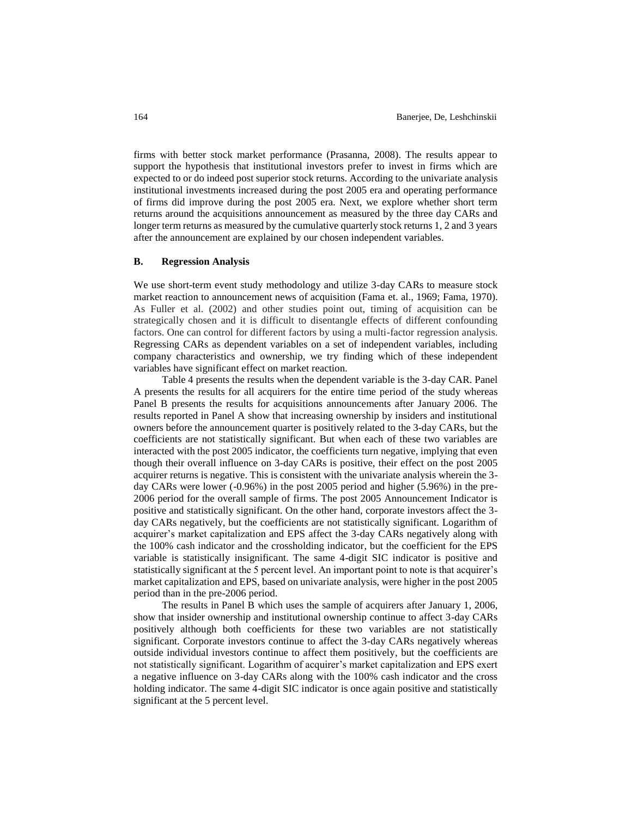firms with better stock market performance (Prasanna, 2008). The results appear to support the hypothesis that institutional investors prefer to invest in firms which are expected to or do indeed post superior stock returns. According to the univariate analysis institutional investments increased during the post 2005 era and operating performance of firms did improve during the post 2005 era. Next, we explore whether short term returns around the acquisitions announcement as measured by the three day CARs and longer term returns as measured by the cumulative quarterly stock returns 1, 2 and 3 years after the announcement are explained by our chosen independent variables.

### **B. Regression Analysis**

We use short-term event study methodology and utilize 3-day CARs to measure stock market reaction to announcement news of acquisition (Fama et. al., 1969; Fama, 1970). As Fuller et al. (2002) and other studies point out, timing of acquisition can be strategically chosen and it is difficult to disentangle effects of different confounding factors. One can control for different factors by using a multi-factor regression analysis. Regressing CARs as dependent variables on a set of independent variables, including company characteristics and ownership, we try finding which of these independent variables have significant effect on market reaction.

Table 4 presents the results when the dependent variable is the 3-day CAR. Panel A presents the results for all acquirers for the entire time period of the study whereas Panel B presents the results for acquisitions announcements after January 2006. The results reported in Panel A show that increasing ownership by insiders and institutional owners before the announcement quarter is positively related to the 3-day CARs, but the coefficients are not statistically significant. But when each of these two variables are interacted with the post 2005 indicator, the coefficients turn negative, implying that even though their overall influence on 3-day CARs is positive, their effect on the post 2005 acquirer returns is negative. This is consistent with the univariate analysis wherein the 3 day CARs were lower (-0.96%) in the post 2005 period and higher (5.96%) in the pre-2006 period for the overall sample of firms. The post 2005 Announcement Indicator is positive and statistically significant. On the other hand, corporate investors affect the 3 day CARs negatively, but the coefficients are not statistically significant. Logarithm of acquirer's market capitalization and EPS affect the 3-day CARs negatively along with the 100% cash indicator and the crossholding indicator, but the coefficient for the EPS variable is statistically insignificant. The same 4-digit SIC indicator is positive and statistically significant at the 5 percent level. An important point to note is that acquirer's market capitalization and EPS, based on univariate analysis, were higher in the post 2005 period than in the pre-2006 period.

The results in Panel B which uses the sample of acquirers after January 1, 2006, show that insider ownership and institutional ownership continue to affect 3-day CARs positively although both coefficients for these two variables are not statistically significant. Corporate investors continue to affect the 3-day CARs negatively whereas outside individual investors continue to affect them positively, but the coefficients are not statistically significant. Logarithm of acquirer's market capitalization and EPS exert a negative influence on 3-day CARs along with the 100% cash indicator and the cross holding indicator. The same 4-digit SIC indicator is once again positive and statistically significant at the 5 percent level.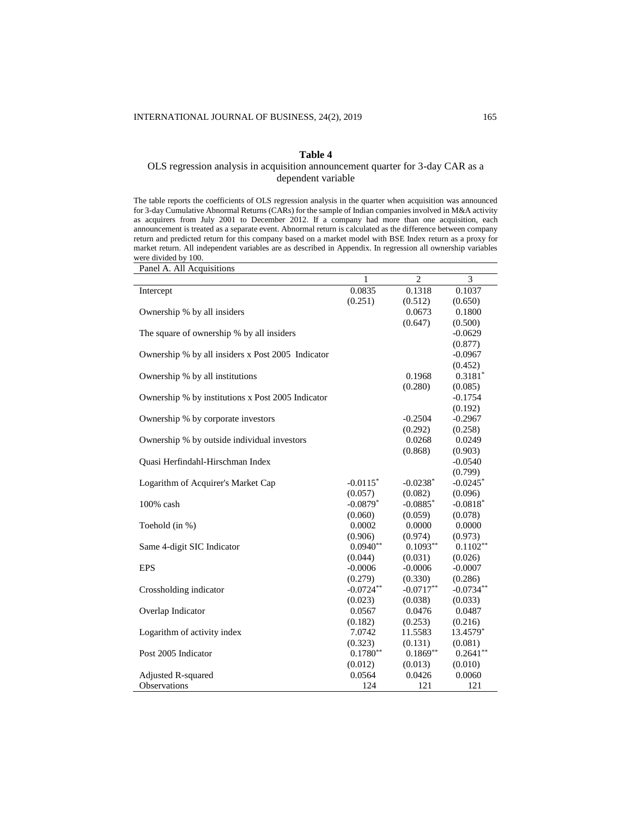# **Table 4**

# OLS regression analysis in acquisition announcement quarter for 3-day CAR as a dependent variable

The table reports the coefficients of OLS regression analysis in the quarter when acquisition was announced for 3-day Cumulative Abnormal Returns (CARs) for the sample of Indian companies involved in M&A activity as acquirers from July 2001 to December 2012. If a company had more than one acquisition, each announcement is treated as a separate event. Abnormal return is calculated as the difference between company return and predicted return for this company based on a market model with BSE Index return as a proxy for market return. All independent variables are as described in Appendix. In regression all ownership variables were divided by 100.

| Panel A. All Acquisitions                         |                        |                |             |
|---------------------------------------------------|------------------------|----------------|-------------|
|                                                   | $\mathbf{1}$           | $\overline{2}$ | 3           |
| Intercept                                         | 0.0835                 | 0.1318         | 0.1037      |
|                                                   | (0.251)                | (0.512)        | (0.650)     |
| Ownership % by all insiders                       |                        | 0.0673         | 0.1800      |
|                                                   |                        | (0.647)        | (0.500)     |
| The square of ownership % by all insiders         |                        |                | $-0.0629$   |
|                                                   |                        |                | (0.877)     |
| Ownership % by all insiders x Post 2005 Indicator |                        |                | $-0.0967$   |
|                                                   |                        |                | (0.452)     |
| Ownership % by all institutions                   |                        | 0.1968         | $0.3181*$   |
|                                                   |                        | (0.280)        | (0.085)     |
| Ownership % by institutions x Post 2005 Indicator |                        |                | $-0.1754$   |
|                                                   |                        |                | (0.192)     |
| Ownership % by corporate investors                |                        | $-0.2504$      | $-0.2967$   |
|                                                   |                        | (0.292)        | (0.258)     |
| Ownership % by outside individual investors       |                        | 0.0268         | 0.0249      |
|                                                   |                        | (0.868)        | (0.903)     |
| Quasi Herfindahl-Hirschman Index                  |                        |                | $-0.0540$   |
|                                                   |                        |                | (0.799)     |
| Logarithm of Acquirer's Market Cap                | $-0.0115$ <sup>*</sup> | $-0.0238*$     | $-0.0245$ * |
|                                                   | (0.057)                | (0.082)        | (0.096)     |
| 100% cash                                         | $-0.0879*$             | $-0.0885*$     | $-0.0818*$  |
|                                                   | (0.060)                | (0.059)        | (0.078)     |
| Toehold (in %)                                    | 0.0002                 | 0.0000         | 0.0000      |
|                                                   | (0.906)                | (0.974)        | (0.973)     |
| Same 4-digit SIC Indicator                        | $0.0940**$             | $0.1093**$     | $0.1102**$  |
|                                                   | (0.044)                | (0.031)        | (0.026)     |
| <b>EPS</b>                                        | $-0.0006$              | $-0.0006$      | $-0.0007$   |
|                                                   | (0.279)                | (0.330)        | (0.286)     |
| Crossholding indicator                            | $-0.0724**$            | $-0.0717**$    | $-0.0734**$ |
|                                                   | (0.023)                | (0.038)        | (0.033)     |
| Overlap Indicator                                 | 0.0567                 | 0.0476         | 0.0487      |
|                                                   | (0.182)                | (0.253)        | (0.216)     |
| Logarithm of activity index                       | 7.0742                 | 11.5583        | 13.4579*    |
|                                                   | (0.323)                | (0.131)        | (0.081)     |
| Post 2005 Indicator                               | $0.1780**$             | $0.1869**$     | $0.2641**$  |
|                                                   | (0.012)                | (0.013)        | (0.010)     |
| Adjusted R-squared                                | 0.0564                 | 0.0426         | 0.0060      |
| Observations                                      | 124                    | 121            | 121         |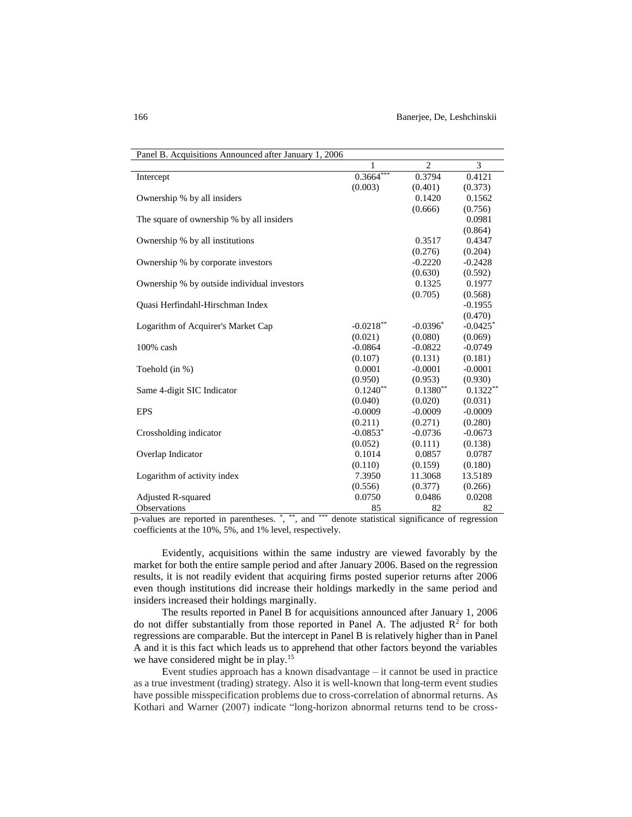| Panel B. Acquisitions Announced after January 1, 2006 |             |                |                        |
|-------------------------------------------------------|-------------|----------------|------------------------|
|                                                       | 1           | $\overline{c}$ | 3                      |
| Intercept                                             | $0.3664***$ | 0.3794         | 0.4121                 |
|                                                       | (0.003)     | (0.401)        | (0.373)                |
| Ownership % by all insiders                           |             | 0.1420         | 0.1562                 |
|                                                       |             | (0.666)        | (0.756)                |
| The square of ownership % by all insiders             |             |                | 0.0981                 |
|                                                       |             |                | (0.864)                |
| Ownership % by all institutions                       |             | 0.3517         | 0.4347                 |
|                                                       |             | (0.276)        | (0.204)                |
| Ownership % by corporate investors                    |             | $-0.2220$      | $-0.2428$              |
|                                                       |             | (0.630)        | (0.592)                |
| Ownership % by outside individual investors           |             | 0.1325         | 0.1977                 |
|                                                       |             | (0.705)        | (0.568)                |
| Quasi Herfindahl-Hirschman Index                      |             |                | $-0.1955$              |
|                                                       |             |                | (0.470)                |
| Logarithm of Acquirer's Market Cap                    | $-0.0218**$ | $-0.0396*$     | $-0.0425$ <sup>*</sup> |
|                                                       | (0.021)     | (0.080)        | (0.069)                |
| $100\%$ cash                                          | $-0.0864$   | $-0.0822$      | $-0.0749$              |
|                                                       | (0.107)     | (0.131)        | (0.181)                |
| Toehold (in %)                                        | 0.0001      | $-0.0001$      | $-0.0001$              |
|                                                       | (0.950)     | (0.953)        | (0.930)                |
| Same 4-digit SIC Indicator                            | $0.1240**$  | $0.1380**$     | $0.1322**$             |
|                                                       | (0.040)     | (0.020)        | (0.031)                |
| <b>EPS</b>                                            | $-0.0009$   | $-0.0009$      | $-0.0009$              |
|                                                       | (0.211)     | (0.271)        | (0.280)                |
| Crossholding indicator                                | $-0.0853*$  | $-0.0736$      | $-0.0673$              |
|                                                       | (0.052)     | (0.111)        | (0.138)                |
| Overlap Indicator                                     | 0.1014      | 0.0857         | 0.0787                 |
|                                                       | (0.110)     | (0.159)        | (0.180)                |
| Logarithm of activity index                           | 7.3950      | 11.3068        | 13.5189                |
|                                                       | (0.556)     | (0.377)        | (0.266)                |
| Adjusted R-squared                                    | 0.0750      | 0.0486         | 0.0208                 |
| Observations                                          | 85          | 82             | 82                     |

p-values are reported in parentheses. \*, \*\*, and \*\*\* denote statistical significance of regression coefficients at the 10%, 5%, and 1% level, respectively.

Evidently, acquisitions within the same industry are viewed favorably by the market for both the entire sample period and after January 2006. Based on the regression results, it is not readily evident that acquiring firms posted superior returns after 2006 even though institutions did increase their holdings markedly in the same period and insiders increased their holdings marginally.

The results reported in Panel B for acquisitions announced after January 1, 2006 do not differ substantially from those reported in Panel A. The adjusted  $\mathbb{R}^2$  for both regressions are comparable. But the intercept in Panel B is relatively higher than in Panel A and it is this fact which leads us to apprehend that other factors beyond the variables we have considered might be in play.<sup>15</sup>

Event studies approach has a known disadvantage – it cannot be used in practice as a true investment (trading) strategy. Also it is well-known that long-term event studies have possible misspecification problems due to cross-correlation of abnormal returns. As Kothari and Warner (2007) indicate "long-horizon abnormal returns tend to be cross-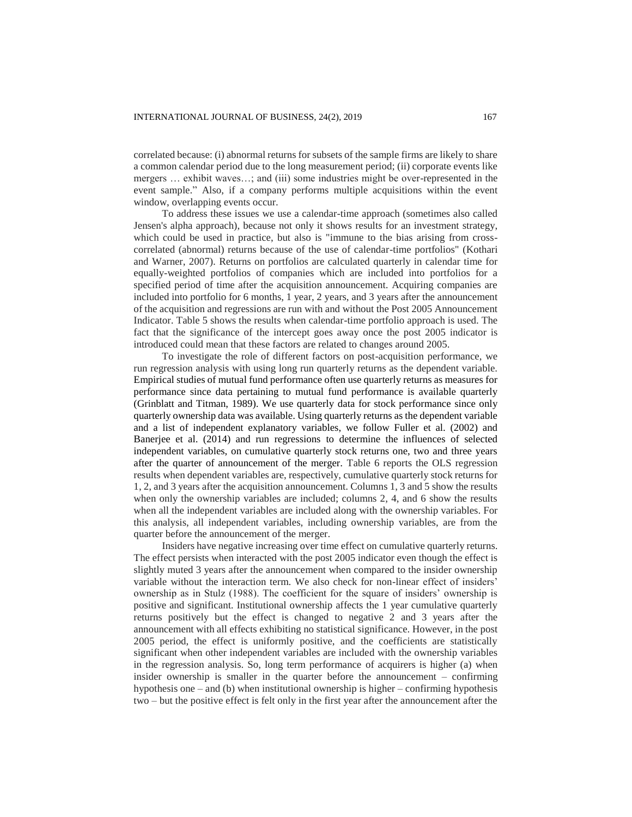correlated because: (i) abnormal returns for subsets of the sample firms are likely to share a common calendar period due to the long measurement period; (ii) corporate events like mergers … exhibit waves…; and (iii) some industries might be over-represented in the event sample." Also, if a company performs multiple acquisitions within the event window, overlapping events occur.

To address these issues we use a calendar-time approach (sometimes also called Jensen's alpha approach), because not only it shows results for an investment strategy, which could be used in practice, but also is "immune to the bias arising from crosscorrelated (abnormal) returns because of the use of calendar-time portfolios" (Kothari and Warner, 2007). Returns on portfolios are calculated quarterly in calendar time for equally-weighted portfolios of companies which are included into portfolios for a specified period of time after the acquisition announcement. Acquiring companies are included into portfolio for 6 months, 1 year, 2 years, and 3 years after the announcement of the acquisition and regressions are run with and without the Post 2005 Announcement Indicator. Table 5 shows the results when calendar-time portfolio approach is used. The fact that the significance of the intercept goes away once the post 2005 indicator is introduced could mean that these factors are related to changes around 2005.

To investigate the role of different factors on post-acquisition performance, we run regression analysis with using long run quarterly returns as the dependent variable. Empirical studies of mutual fund performance often use quarterly returns as measures for performance since data pertaining to mutual fund performance is available quarterly (Grinblatt and Titman, 1989). We use quarterly data for stock performance since only quarterly ownership data was available. Using quarterly returns as the dependent variable and a list of independent explanatory variables, we follow Fuller et al. (2002) and Banerjee et al. (2014) and run regressions to determine the influences of selected independent variables, on cumulative quarterly stock returns one, two and three years after the quarter of announcement of the merger. Table 6 reports the OLS regression results when dependent variables are, respectively, cumulative quarterly stock returns for 1, 2, and 3 years after the acquisition announcement. Columns 1, 3 and 5 show the results when only the ownership variables are included; columns 2, 4, and 6 show the results when all the independent variables are included along with the ownership variables. For this analysis, all independent variables, including ownership variables, are from the quarter before the announcement of the merger.

Insiders have negative increasing over time effect on cumulative quarterly returns. The effect persists when interacted with the post 2005 indicator even though the effect is slightly muted 3 years after the announcement when compared to the insider ownership variable without the interaction term. We also check for non-linear effect of insiders' ownership as in Stulz (1988). The coefficient for the square of insiders' ownership is positive and significant. Institutional ownership affects the 1 year cumulative quarterly returns positively but the effect is changed to negative 2 and 3 years after the announcement with all effects exhibiting no statistical significance. However, in the post 2005 period, the effect is uniformly positive, and the coefficients are statistically significant when other independent variables are included with the ownership variables in the regression analysis. So, long term performance of acquirers is higher (a) when insider ownership is smaller in the quarter before the announcement – confirming hypothesis one – and (b) when institutional ownership is higher – confirming hypothesis two – but the positive effect is felt only in the first year after the announcement after the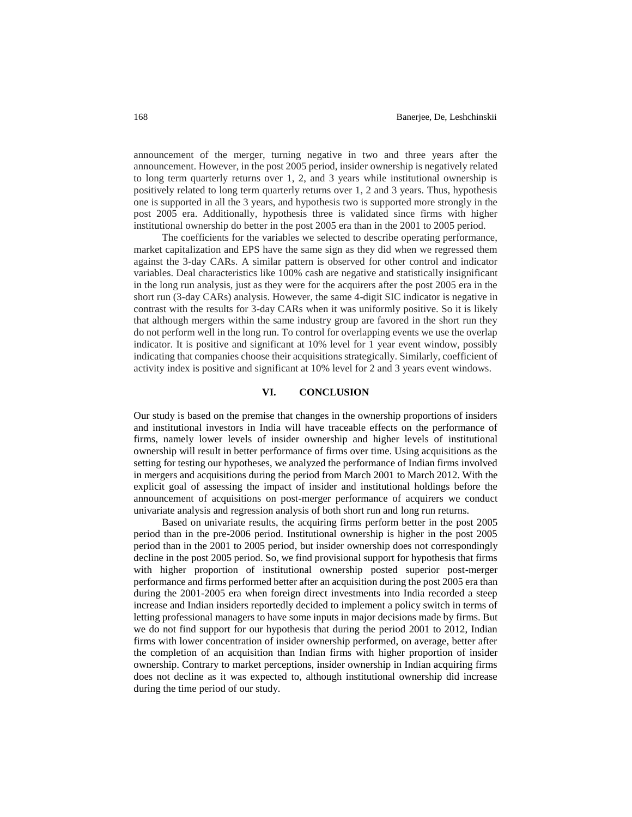announcement of the merger, turning negative in two and three years after the announcement. However, in the post 2005 period, insider ownership is negatively related to long term quarterly returns over 1, 2, and 3 years while institutional ownership is positively related to long term quarterly returns over 1, 2 and 3 years. Thus, hypothesis one is supported in all the 3 years, and hypothesis two is supported more strongly in the post 2005 era. Additionally, hypothesis three is validated since firms with higher institutional ownership do better in the post 2005 era than in the 2001 to 2005 period.

The coefficients for the variables we selected to describe operating performance, market capitalization and EPS have the same sign as they did when we regressed them against the 3-day CARs. A similar pattern is observed for other control and indicator variables. Deal characteristics like 100% cash are negative and statistically insignificant in the long run analysis, just as they were for the acquirers after the post 2005 era in the short run (3-day CARs) analysis. However, the same 4-digit SIC indicator is negative in contrast with the results for 3-day CARs when it was uniformly positive. So it is likely that although mergers within the same industry group are favored in the short run they do not perform well in the long run. To control for overlapping events we use the overlap indicator. It is positive and significant at 10% level for 1 year event window, possibly indicating that companies choose their acquisitions strategically. Similarly, coefficient of activity index is positive and significant at 10% level for 2 and 3 years event windows.

### **VI. CONCLUSION**

Our study is based on the premise that changes in the ownership proportions of insiders and institutional investors in India will have traceable effects on the performance of firms, namely lower levels of insider ownership and higher levels of institutional ownership will result in better performance of firms over time. Using acquisitions as the setting for testing our hypotheses, we analyzed the performance of Indian firms involved in mergers and acquisitions during the period from March 2001 to March 2012. With the explicit goal of assessing the impact of insider and institutional holdings before the announcement of acquisitions on post-merger performance of acquirers we conduct univariate analysis and regression analysis of both short run and long run returns.

Based on univariate results, the acquiring firms perform better in the post 2005 period than in the pre-2006 period. Institutional ownership is higher in the post 2005 period than in the 2001 to 2005 period, but insider ownership does not correspondingly decline in the post 2005 period. So, we find provisional support for hypothesis that firms with higher proportion of institutional ownership posted superior post-merger performance and firms performed better after an acquisition during the post 2005 era than during the 2001-2005 era when foreign direct investments into India recorded a steep increase and Indian insiders reportedly decided to implement a policy switch in terms of letting professional managers to have some inputs in major decisions made by firms. But we do not find support for our hypothesis that during the period 2001 to 2012, Indian firms with lower concentration of insider ownership performed, on average, better after the completion of an acquisition than Indian firms with higher proportion of insider ownership. Contrary to market perceptions, insider ownership in Indian acquiring firms does not decline as it was expected to, although institutional ownership did increase during the time period of our study.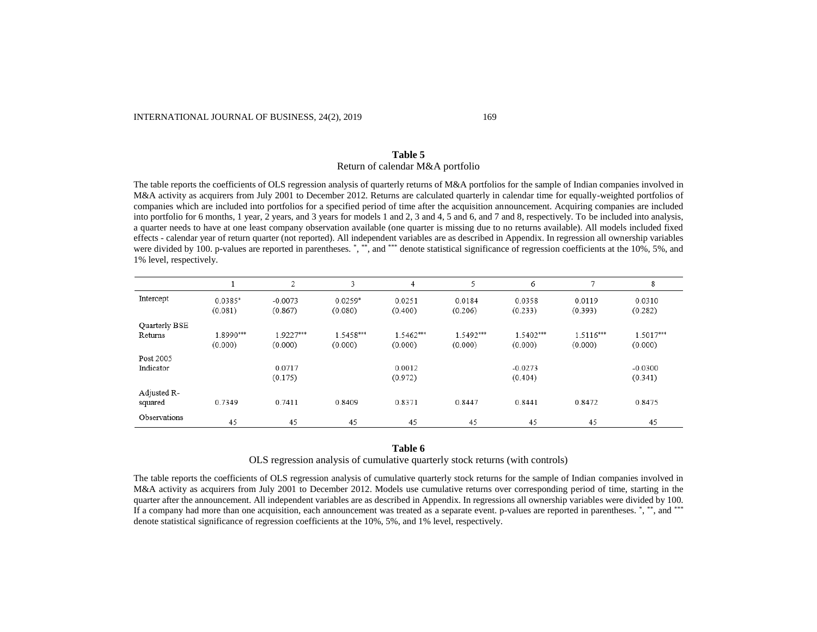#### INTERNATIONAL JOURNAL OF BUSINESS, 24(2), 2019 169

# **Table 5** Return of calendar M&A portfolio

The table reports the coefficients of OLS regression analysis of quarterly returns of M&A portfolios for the sample of Indian companies involved in M&A activity as acquirers from July 2001 to December 2012. Returns are calculated quarterly in calendar time for equally-weighted portfolios of companies which are included into portfolios for a specified period of time after the acquisition announcement. Acquiring companies are included into portfolio for 6 months, 1 year, 2 years, and 3 years for models 1 and 2, 3 and 4, 5 and 6, and 7 and 8, respectively. To be included into analysis, a quarter needs to have at one least company observation available (one quarter is missing due to no returns available). All models included fixed effects - calendar year of return quarter (not reported). All independent variables are as described in Appendix. In regression all ownership variables were divided by 100. p-values are reported in parentheses. \*,\*\*\*, and \*\*\* denote statistical significance of regression coefficients at the 10%, 5%, and 1% level, respectively.

|                          |                      | 2                    | 3                    | 4                    | 5                    | 6                    | $\mathcal{I}$        | 8                    |
|--------------------------|----------------------|----------------------|----------------------|----------------------|----------------------|----------------------|----------------------|----------------------|
| Intercept                | 0.0385*<br>(0.081)   | $-0.0073$<br>(0.867) | $0.0259*$<br>(0.080) | 0.0251<br>(0.400)    | 0.0184<br>(0.206)    | 0.0358<br>(0.233)    | 0.0119<br>(0.393)    | 0.0310<br>(0.282)    |
| Quarterly BSE<br>Returns | 1.8990***<br>(0.000) | 1.9227***<br>(0.000) | 1.5458***<br>(0.000) | 1.5462***<br>(0.000) | 1.5492***<br>(0.000) | 1.5402***<br>(0.000) | 1.5116***<br>(0.000) | 1.5017***<br>(0.000) |
| Post 2005<br>Indicator   |                      | 0.0717<br>(0.175)    |                      | 0.0012<br>(0.972)    |                      | $-0.0273$<br>(0.404) |                      | $-0.0300$<br>(0.341) |
| Adjusted R-<br>squared   | 0.7349               | 0.7411               | 0.8409               | 0.8371               | 0.8447               | 0.8441               | 0.8472               | 0.8475               |
| Observations             | 45                   | 45                   | 45                   | 45                   | 45                   | 45                   | 45                   | 45                   |

#### **Table 6**

OLS regression analysis of cumulative quarterly stock returns (with controls)

The table reports the coefficients of OLS regression analysis of cumulative quarterly stock returns for the sample of Indian companies involved in M&A activity as acquirers from July 2001 to December 2012. Models use cumulative returns over corresponding period of time, starting in the quarter after the announcement. All independent variables are as described in Appendix. In regressions all ownership variables were divided by 100. If a company had more than one acquisition, each announcement was treated as a separate event. p-values are reported in parentheses. \*, \*\*\*, and \*\*\* denote statistical significance of regression coefficients at the 10%, 5%, and 1% level, respectively.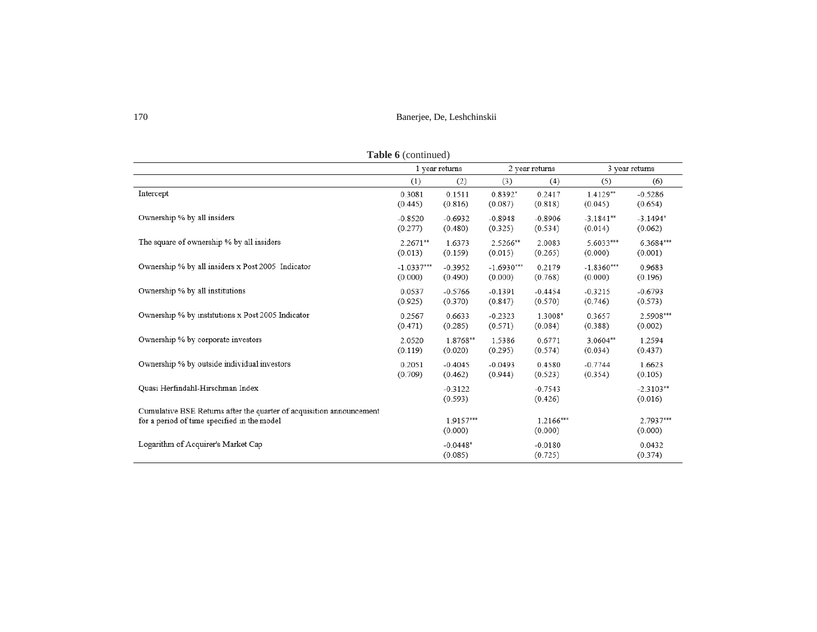| Table 6 (continued)                                                  |              |                        |              |                      |              |                        |
|----------------------------------------------------------------------|--------------|------------------------|--------------|----------------------|--------------|------------------------|
|                                                                      |              | 1 year returns         |              | 2 year returns       |              | 3 year returns         |
|                                                                      | (1)          | (2)                    | (3)          | (4)                  | (5)          | (6)                    |
| Intercept                                                            | 0.3081       | 0.1511                 | $0.8392*$    | 0.2417               | $1.4129**$   | $-0.5286$              |
|                                                                      | (0.445)      | (0.816)                | (0.087)      | (0.818)              | (0.045)      | (0.654)                |
| Ownership % by all insiders                                          | $-0.8520$    | $-0.6932$              | $-0.8948$    | $-0.8906$            | $-3.1841**$  | $-3.1494*$             |
|                                                                      | (0.277)      | (0.480)                | (0.325)      | (0.534)              | (0.014)      | (0.062)                |
| The square of ownership % by all insiders                            | $2.2671**$   | 1.6373                 | 2.5266**     | 2.0083               | 5.6033***    | 6.3684***              |
|                                                                      | (0.013)      | (0.159)                | (0.015)      | (0.265)              | (0.000)      | (0.001)                |
| Ownership % by all insiders x Post 2005 Indicator                    | $-1.0337***$ | $-0.3952$              | $-1.6930***$ | 0.2179               | $-1.8360***$ | 0.9683                 |
|                                                                      | (0.000)      | (0.490)                | (0.000)      | (0.768)              | (0.000)      | (0.196)                |
| Ownership % by all institutions                                      | 0.0537       | $-0.5766$              | $-0.1391$    | $-0.4454$            | $-0.3215$    | $-0.6793$              |
|                                                                      | (0.925)      | (0.370)                | (0.847)      | (0.570)              | (0.746)      | (0.573)                |
| Ownership % by institutions x Post 2005 Indicator                    | 0.2567       | 0.6633                 | $-0.2323$    | 1.3008*              | 0.3657       | 2.5908***              |
|                                                                      | (0.471)      | (0.285)                | (0.571)      | (0.084)              | (0.388)      | (0.002)                |
| Ownership % by corporate investors                                   | 2.0520       | 1.8768**               | 1.5386       | 0.6771               | $3.0604**$   | 1.2594                 |
|                                                                      | (0.119)      | (0.020)                | (0.295)      | (0.574)              | (0.034)      | (0.437)                |
| Ownership % by outside individual investors                          | 0.2051       | $-0.4045$              | $-0.0493$    | 0.4580               | $-0.7744$    | 1.6623                 |
|                                                                      | (0.709)      | (0.462)                | (0.944)      | (0.523)              | (0.354)      | (0.105)                |
| Quasi Herfindahl-Hirschman Index                                     |              | $-0.3122$<br>(0.593)   |              | $-0.7543$<br>(0.426) |              | $-2.3103**$<br>(0.016) |
| Cumulative BSE Returns after the quarter of acquisition announcement |              |                        |              |                      |              |                        |
| for a period of time specified in the model                          |              | $1.9157***$<br>(0.000) |              | 1.2166***<br>(0.000) |              | 2.7937***<br>(0.000)   |
| Logarithm of Acquirer's Market Cap                                   |              | $-0.0448*$<br>(0.085)  |              | $-0.0180$<br>(0.725) |              | 0.0432<br>(0.374)      |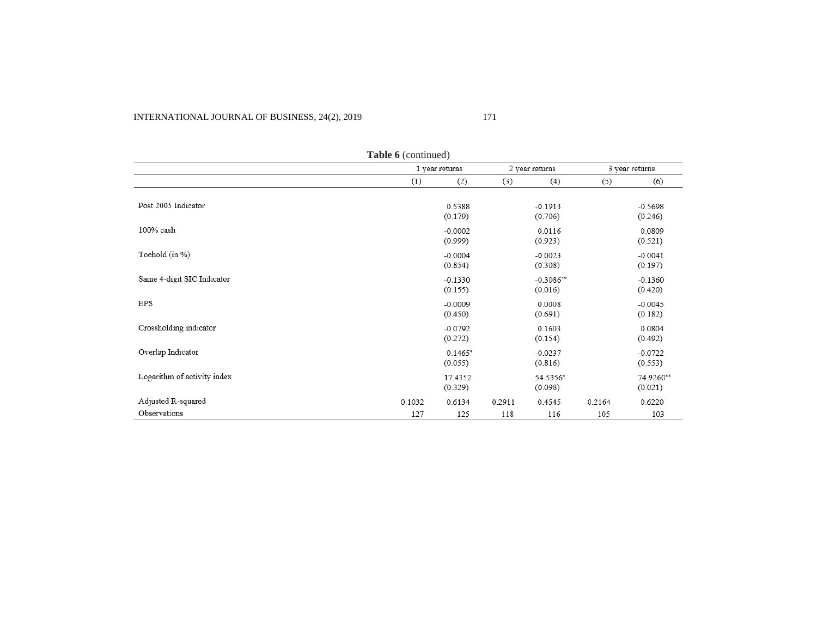| Table 6 (continued)         |        |                      |        |                        |        |                      |
|-----------------------------|--------|----------------------|--------|------------------------|--------|----------------------|
|                             |        | 1 year returns       |        | 2 year returns         |        | 3 year returns       |
|                             | (1)    | (2)                  | (3)    | (4)                    | (5)    | (6)                  |
| Post 2005 Indicator         |        | 0.5388<br>(0.179)    |        | $-0.1913$<br>(0.706)   |        | $-0.5698$<br>(0.246) |
| 100% cash                   |        | $-0.0002$<br>(0.999) |        | 0.0116<br>(0.923)      |        | 0.0809<br>(0.521)    |
| Toehold (in %)              |        | $-0.0004$<br>(0.854) |        | $-0.0023$<br>(0.308)   |        | $-0.0041$<br>(0.197) |
| Same 4-digit SIC Indicator  |        | $-0.1330$<br>(0.155) |        | $-0.3086**$<br>(0.016) |        | $-0.1360$<br>(0.420) |
| EPS                         |        | $-0.0009$<br>(0.450) |        | 0.0008<br>(0.691)      |        | $-0.0045$<br>(0.182) |
| Crossholding indicator      |        | $-0.0792$<br>(0.272) |        | 0.1603<br>(0.154)      |        | 0.0804<br>(0.492)    |
| Overlap Indicator           |        | $0.1465*$<br>(0.055) |        | $-0.0237$<br>(0.816)   |        | $-0.0722$<br>(0.553) |
| Logarithm of activity index |        | 17.4352<br>(0.329)   |        | 54.5356*<br>(0.098)    |        | 74.9260**<br>(0.021) |
| Adjusted R-squared          | 0.1032 | 0.6134               | 0.2911 | 0.4545                 | 0.2164 | 0.6220               |
| Observations                | 127    | 125                  | 118    | 116                    | 105    | 103                  |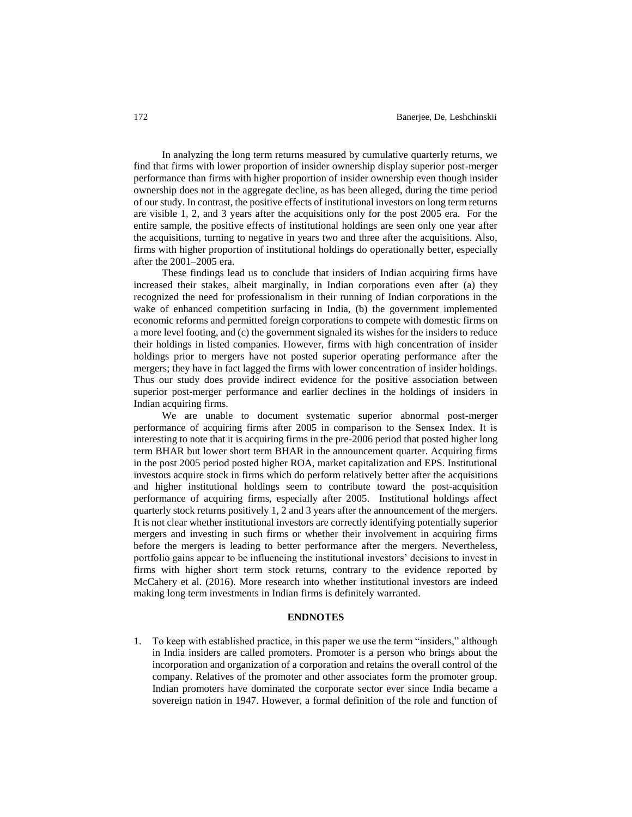In analyzing the long term returns measured by cumulative quarterly returns, we find that firms with lower proportion of insider ownership display superior post-merger performance than firms with higher proportion of insider ownership even though insider ownership does not in the aggregate decline, as has been alleged, during the time period of our study. In contrast, the positive effects of institutional investors on long term returns are visible 1, 2, and 3 years after the acquisitions only for the post 2005 era. For the entire sample, the positive effects of institutional holdings are seen only one year after the acquisitions, turning to negative in years two and three after the acquisitions. Also, firms with higher proportion of institutional holdings do operationally better, especially after the 2001–2005 era.

These findings lead us to conclude that insiders of Indian acquiring firms have increased their stakes, albeit marginally, in Indian corporations even after (a) they recognized the need for professionalism in their running of Indian corporations in the wake of enhanced competition surfacing in India, (b) the government implemented economic reforms and permitted foreign corporations to compete with domestic firms on a more level footing, and (c) the government signaled its wishes for the insiders to reduce their holdings in listed companies. However, firms with high concentration of insider holdings prior to mergers have not posted superior operating performance after the mergers; they have in fact lagged the firms with lower concentration of insider holdings. Thus our study does provide indirect evidence for the positive association between superior post-merger performance and earlier declines in the holdings of insiders in Indian acquiring firms.

We are unable to document systematic superior abnormal post-merger performance of acquiring firms after 2005 in comparison to the Sensex Index. It is interesting to note that it is acquiring firms in the pre-2006 period that posted higher long term BHAR but lower short term BHAR in the announcement quarter. Acquiring firms in the post 2005 period posted higher ROA, market capitalization and EPS. Institutional investors acquire stock in firms which do perform relatively better after the acquisitions and higher institutional holdings seem to contribute toward the post-acquisition performance of acquiring firms, especially after 2005. Institutional holdings affect quarterly stock returns positively 1, 2 and 3 years after the announcement of the mergers. It is not clear whether institutional investors are correctly identifying potentially superior mergers and investing in such firms or whether their involvement in acquiring firms before the mergers is leading to better performance after the mergers. Nevertheless, portfolio gains appear to be influencing the institutional investors' decisions to invest in firms with higher short term stock returns, contrary to the evidence reported by McCahery et al. (2016). More research into whether institutional investors are indeed making long term investments in Indian firms is definitely warranted.

#### **ENDNOTES**

1. To keep with established practice, in this paper we use the term "insiders," although in India insiders are called promoters. Promoter is a person who brings about the incorporation and organization of a corporation and retains the overall control of the company. Relatives of the promoter and other associates form the promoter group. Indian promoters have dominated the corporate sector ever since India became a sovereign nation in 1947. However, a formal definition of the role and function of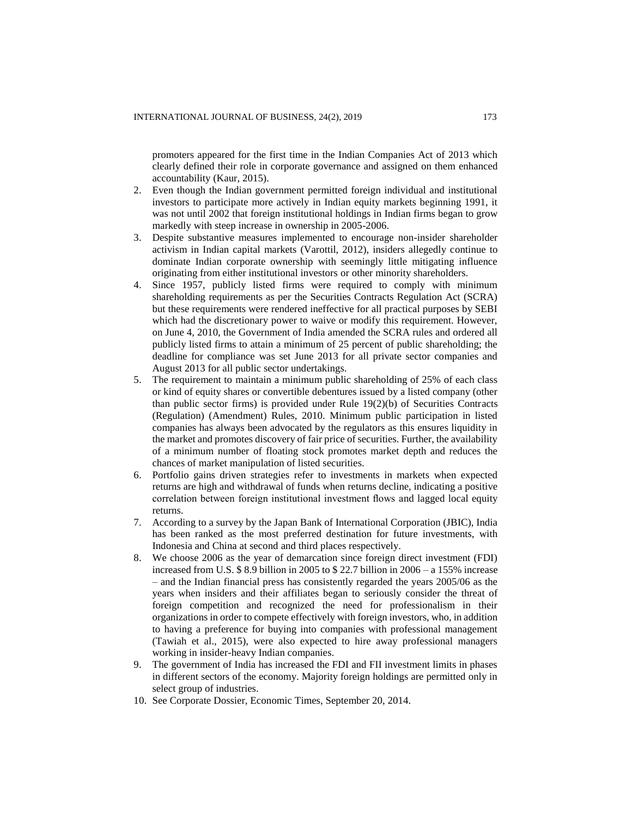promoters appeared for the first time in the Indian Companies Act of 2013 which clearly defined their role in corporate governance and assigned on them enhanced accountability (Kaur, 2015).

- 2. Even though the Indian government permitted foreign individual and institutional investors to participate more actively in Indian equity markets beginning 1991, it was not until 2002 that foreign institutional holdings in Indian firms began to grow markedly with steep increase in ownership in 2005-2006.
- 3. Despite substantive measures implemented to encourage non-insider shareholder activism in Indian capital markets (Varottil, 2012), insiders allegedly continue to dominate Indian corporate ownership with seemingly little mitigating influence originating from either institutional investors or other minority shareholders.
- 4. Since 1957, publicly listed firms were required to comply with minimum shareholding requirements as per the Securities Contracts Regulation Act (SCRA) but these requirements were rendered ineffective for all practical purposes by SEBI which had the discretionary power to waive or modify this requirement. However, on June 4, 2010, the Government of India amended the SCRA rules and ordered all publicly listed firms to attain a minimum of 25 percent of public shareholding; the deadline for compliance was set June 2013 for all private sector companies and August 2013 for all public sector undertakings.
- 5. The requirement to maintain a minimum public shareholding of 25% of each class or kind of equity shares or convertible debentures issued by a listed company (other than public sector firms) is provided under Rule 19(2)(b) of Securities Contracts (Regulation) (Amendment) Rules, 2010. Minimum public participation in listed companies has always been advocated by the regulators as this ensures liquidity in the market and promotes discovery of fair price of securities. Further, the availability of a minimum number of floating stock promotes market depth and reduces the chances of market manipulation of listed securities.
- 6. Portfolio gains driven strategies refer to investments in markets when expected returns are high and withdrawal of funds when returns decline, indicating a positive correlation between foreign institutional investment flows and lagged local equity returns.
- 7. According to a survey by the Japan Bank of International Corporation (JBIC), India has been ranked as the most preferred destination for future investments, with Indonesia and China at second and third places respectively.
- 8. We choose 2006 as the year of demarcation since foreign direct investment (FDI) increased from U.S. \$ 8.9 billion in 2005 to \$ 22.7 billion in 2006 – a 155% increase – and the Indian financial press has consistently regarded the years 2005/06 as the years when insiders and their affiliates began to seriously consider the threat of foreign competition and recognized the need for professionalism in their organizations in order to compete effectively with foreign investors, who, in addition to having a preference for buying into companies with professional management (Tawiah et al., 2015), were also expected to hire away professional managers working in insider-heavy Indian companies.
- 9. The government of India has increased the FDI and FII investment limits in phases in different sectors of the economy. Majority foreign holdings are permitted only in select group of industries.
- 10. See Corporate Dossier, Economic Times, September 20, 2014.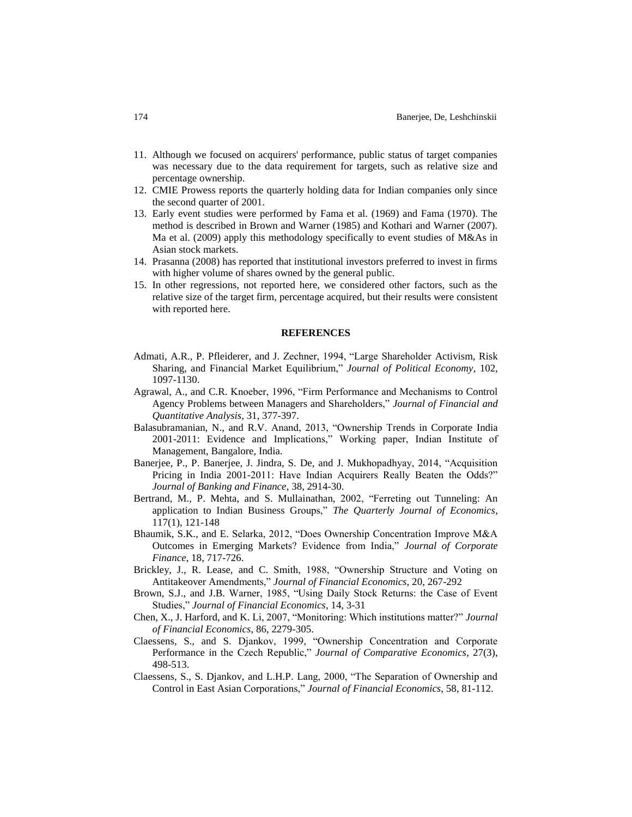- 11. Although we focused on acquirers' performance, public status of target companies was necessary due to the data requirement for targets, such as relative size and percentage ownership.
- 12. CMIE Prowess reports the quarterly holding data for Indian companies only since the second quarter of 2001.
- 13. Early event studies were performed by Fama et al. (1969) and Fama (1970). The method is described in Brown and Warner (1985) and Kothari and Warner (2007). Ma et al. (2009) apply this methodology specifically to event studies of M&As in Asian stock markets.
- 14. Prasanna (2008) has reported that institutional investors preferred to invest in firms with higher volume of shares owned by the general public.
- 15. In other regressions, not reported here, we considered other factors, such as the relative size of the target firm, percentage acquired, but their results were consistent with reported here.

#### **REFERENCES**

- Admati, A.R., P. Pfleiderer, and J. Zechner, 1994, "Large Shareholder Activism, Risk Sharing, and Financial Market Equilibrium," *Journal of Political Economy*, 102, 1097-1130.
- Agrawal, A., and C.R. Knoeber, 1996, "Firm Performance and Mechanisms to Control Agency Problems between Managers and Shareholders," *Journal of Financial and Quantitative Analysis*, 31, 377-397.
- Balasubramanian, N., and R.V. Anand, 2013, "Ownership Trends in Corporate India 2001-2011: Evidence and Implications," Working paper, Indian Institute of Management, Bangalore, India.
- Banerjee, P., P. Banerjee, J. Jindra, S. De, and J. Mukhopadhyay, 2014, "Acquisition Pricing in India 2001-2011: Have Indian Acquirers Really Beaten the Odds?" *Journal of Banking and Finance*, 38, 2914-30.
- Bertrand, M., P. Mehta, and S. Mullainathan, 2002, "Ferreting out Tunneling: An application to Indian Business Groups," *The Quarterly Journal of Economics*, 117(1), 121-148
- Bhaumik, S.K., and E. Selarka, 2012, "Does Ownership Concentration Improve M&A Outcomes in Emerging Markets? Evidence from India," *Journal of Corporate Finance*, 18, 717-726.
- Brickley, J., R. Lease, and C. Smith, 1988, "Ownership Structure and Voting on Antitakeover Amendments," *Journal of Financial Economics*, 20, 267-292
- Brown, S.J., and J.B. Warner, 1985, "Using Daily Stock Returns: the Case of Event Studies," *Journal of Financial Economics*, 14, 3-31
- Chen, X., J. Harford, and K. Li, 2007, "Monitoring: Which institutions matter?" *Journal of Financial Economics*, 86, 2279-305.
- Claessens, S., and S. Djankov, 1999, "Ownership Concentration and Corporate Performance in the Czech Republic," *Journal of Comparative Economics*, 27(3), 498-513.
- Claessens, S., S. Djankov, and L.H.P. Lang, 2000, "The Separation of Ownership and Control in East Asian Corporations," *Journal of Financial Economics*, 58, 81-112.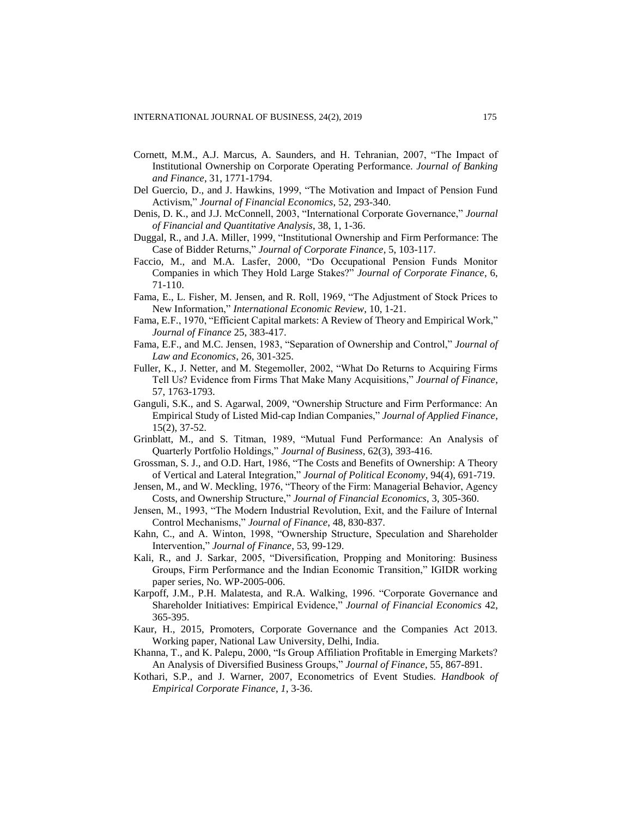- Cornett, M.M., A.J. Marcus, A. Saunders, and H. Tehranian, 2007, "The Impact of Institutional Ownership on Corporate Operating Performance. *Journal of Banking and Finance*, 31, 1771-1794.
- Del Guercio, D., and J. Hawkins, 1999, "The Motivation and Impact of Pension Fund Activism," *Journal of Financial Economics*, 52, 293-340.
- Denis, D. K., and J.J. McConnell, 2003, "International Corporate Governance," *Journal of Financial and Quantitative Analysis*, 38, 1, 1-36.
- Duggal, R., and J.A. Miller, 1999, "Institutional Ownership and Firm Performance: The Case of Bidder Returns," *Journal of Corporate Finance*, 5, 103-117.
- Faccio, M., and M.A. Lasfer, 2000, "Do Occupational Pension Funds Monitor Companies in which They Hold Large Stakes?" *Journal of Corporate Finance*, 6, 71-110.
- Fama, E., L. Fisher, M. Jensen, and R. Roll, 1969, "The Adjustment of Stock Prices to New Information," *International Economic Review*, 10, 1-21.
- Fama, E.F., 1970, "Efficient Capital markets: A Review of Theory and Empirical Work," *Journal of Finance* 25, 383-417.
- Fama, E.F., and M.C. Jensen, 1983, "Separation of Ownership and Control," *Journal of Law and Economics*, 26, 301-325.
- Fuller, K., J. Netter, and M. Stegemoller, 2002, "What Do Returns to Acquiring Firms Tell Us? Evidence from Firms That Make Many Acquisitions," *Journal of Finance*, 57, 1763-1793.
- Ganguli, S.K., and S. Agarwal, 2009, "Ownership Structure and Firm Performance: An Empirical Study of Listed Mid-cap Indian Companies," *Journal of Applied Finance*, 15(2), 37-52.
- Grinblatt, M., and S. Titman, 1989, "Mutual Fund Performance: An Analysis of Quarterly Portfolio Holdings," *Journal of Business*, 62(3), 393-416.
- Grossman, S. J., and O.D. Hart, 1986, "The Costs and Benefits of Ownership: A Theory of Vertical and Lateral Integration," *Journal of Political Economy*, 94(4), 691-719.
- Jensen, M., and W. Meckling, 1976, "Theory of the Firm: Managerial Behavior, Agency Costs, and Ownership Structure," *Journal of Financial Economics*, 3, 305-360.
- Jensen, M., 1993, "The Modern Industrial Revolution, Exit, and the Failure of Internal Control Mechanisms," *Journal of Finance*, 48, 830-837.
- Kahn, C., and A. Winton, 1998, "Ownership Structure, Speculation and Shareholder Intervention," *Journal of Finance*, 53, 99-129.
- Kali, R., and J. Sarkar, 2005, "Diversification, Propping and Monitoring: Business Groups, Firm Performance and the Indian Economic Transition," IGIDR working paper series, No. WP-2005-006.
- Karpoff, J.M., P.H. Malatesta, and R.A. Walking, 1996. "Corporate Governance and Shareholder Initiatives: Empirical Evidence," *Journal of Financial Economics* 42, 365-395.
- Kaur, H., 2015, Promoters, Corporate Governance and the Companies Act 2013. Working paper, National Law University, Delhi, India.
- Khanna, T., and K. Palepu, 2000, "Is Group Affiliation Profitable in Emerging Markets? An Analysis of Diversified Business Groups," *Journal of Finance*, 55, 867-891.
- Kothari, S.P., and J. Warner, 2007, Econometrics of Event Studies. *Handbook of Empirical Corporate Finance*, *1*, 3-36.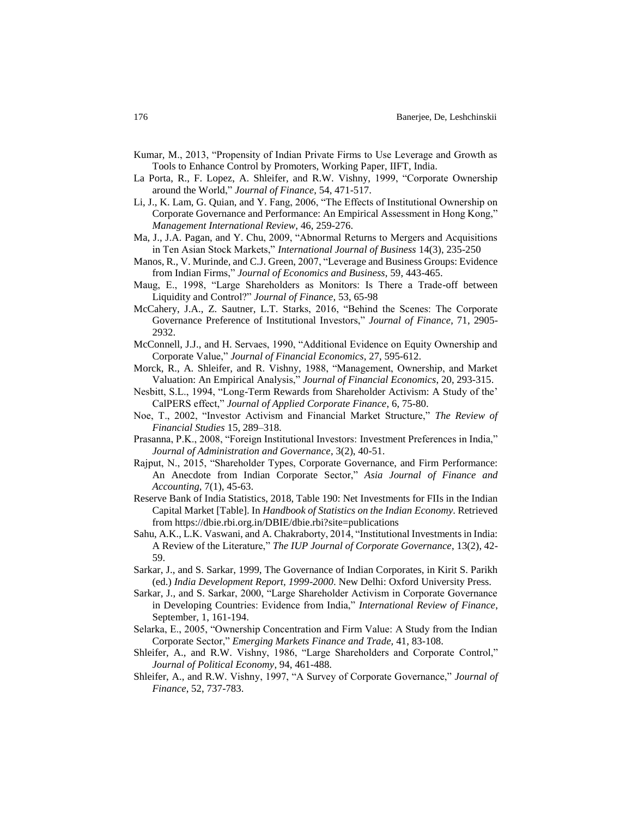- Kumar, M., 2013, "Propensity of Indian Private Firms to Use Leverage and Growth as Tools to Enhance Control by Promoters, Working Paper, IIFT, India.
- La Porta, R., F. Lopez, A. Shleifer, and R.W. Vishny, 1999, "Corporate Ownership around the World," *Journal of Finance*, 54, 471-517.
- Li, J., K. Lam, G. Quian, and Y. Fang, 2006, "The Effects of Institutional Ownership on Corporate Governance and Performance: An Empirical Assessment in Hong Kong," *Management International Review*, 46, 259-276.
- Ma, J., J.A. Pagan, and Y. Chu, 2009, "Abnormal Returns to Mergers and Acquisitions in Ten Asian Stock Markets," *International Journal of Business* 14(3), 235-250
- Manos, R., V. Murinde, and C.J. Green, 2007, "Leverage and Business Groups: Evidence from Indian Firms," *Journal of Economics and Business*, 59, 443-465.
- Maug, E., 1998, "Large Shareholders as Monitors: Is There a Trade-off between Liquidity and Control?" *Journal of Finance*, 53, 65-98
- McCahery, J.A., Z. Sautner, L.T. Starks, 2016, "Behind the Scenes: The Corporate Governance Preference of Institutional Investors," *Journal of Finance*, 71, 2905- 2932.
- McConnell, J.J., and H. Servaes, 1990, "Additional Evidence on Equity Ownership and Corporate Value," *Journal of Financial Economics*, 27, 595-612.
- Morck, R., A. Shleifer, and R. Vishny, 1988, "Management, Ownership, and Market Valuation: An Empirical Analysis," *Journal of Financial Economics*, 20, 293-315.
- Nesbitt, S.L., 1994, "Long-Term Rewards from Shareholder Activism: A Study of the' CalPERS effect," *Journal of Applied Corporate Finance*, 6, 75-80.
- Noe, T., 2002, "Investor Activism and Financial Market Structure," *The Review of Financial Studies* 15, 289–318.
- Prasanna, P.K., 2008, "Foreign Institutional Investors: Investment Preferences in India," *Journal of Administration and Governance*, 3(2), 40-51.
- Rajput, N., 2015, "Shareholder Types, Corporate Governance, and Firm Performance: An Anecdote from Indian Corporate Sector," *Asia Journal of Finance and Accounting*, 7(1), 45-63.
- Reserve Bank of India Statistics, 2018, Table 190: Net Investments for FIIs in the Indian Capital Market [Table]. In *Handbook of Statistics on the Indian Economy*. Retrieved fro[m https://dbie.rbi.org.in/DBIE/dbie.rbi?site=publications](https://dbie.rbi.org.in/DBIE/dbie.rbi?site=publications)
- Sahu, A.K., L.K. Vaswani, and A. Chakraborty, 2014, "Institutional Investments in India: A Review of the Literature," *The IUP Journal of Corporate Governance*, 13(2), 42- 59.
- Sarkar, J., and S. Sarkar, 1999, The Governance of Indian Corporates, in Kirit S. Parikh (ed.) *India Development Report, 1999-2000*. New Delhi: Oxford University Press.
- Sarkar, J., and S. Sarkar, 2000, "Large Shareholder Activism in Corporate Governance in Developing Countries: Evidence from India," *International Review of Finance*, September, 1, 161-194.
- Selarka, E., 2005, "Ownership Concentration and Firm Value: A Study from the Indian Corporate Sector," *Emerging Markets Finance and Trade,* 41, 83-108.
- Shleifer, A., and R.W. Vishny, 1986, "Large Shareholders and Corporate Control," *Journal of Political Economy*, 94, 461-488.
- Shleifer, A., and R.W. Vishny, 1997, "A Survey of Corporate Governance," *Journal of Finance*, 52, 737-783.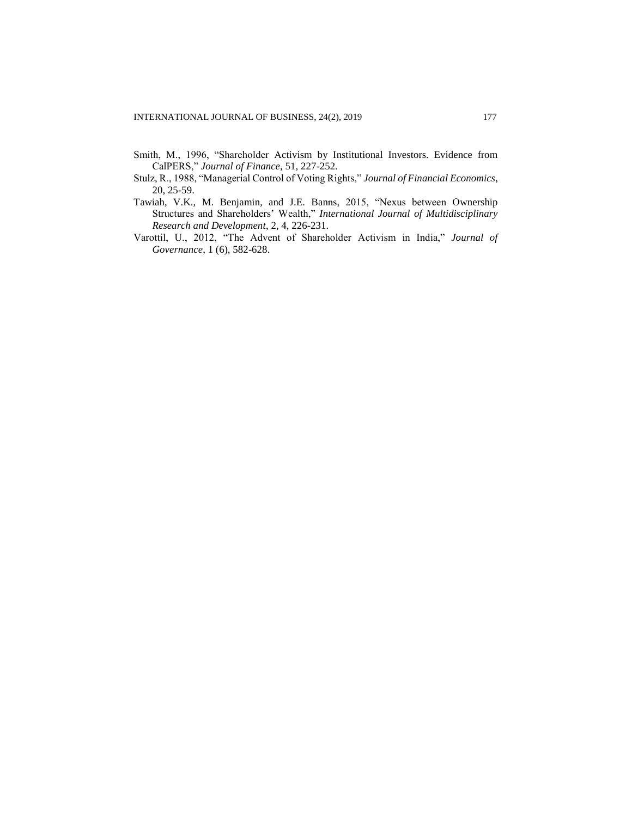- Smith, M., 1996, "Shareholder Activism by Institutional Investors. Evidence from CalPERS," *Journal of Finance*, 51, 227-252.
- Stulz, R., 1988, "Managerial Control of Voting Rights," *Journal of Financial Economics*, 20, 25-59.
- Tawiah, V.K., M. Benjamin, and J.E. Banns, 2015, "Nexus between Ownership Structures and Shareholders' Wealth," *International Journal of Multidisciplinary Research and Development*, 2, 4, 226-231.
- Varottil, U., 2012, "The Advent of Shareholder Activism in India," *Journal of Governance*, 1 (6), 582-628.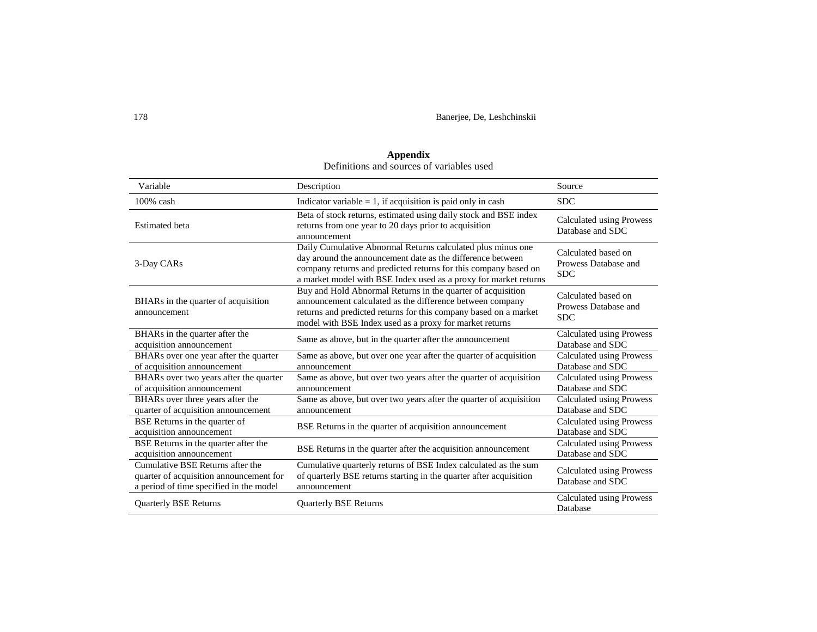| Variable                                                                                                               | Description                                                                                                                                                                                                                                                      | Source                                                    |
|------------------------------------------------------------------------------------------------------------------------|------------------------------------------------------------------------------------------------------------------------------------------------------------------------------------------------------------------------------------------------------------------|-----------------------------------------------------------|
| $100\%$ cash                                                                                                           | Indicator variable $= 1$ , if acquisition is paid only in cash                                                                                                                                                                                                   | <b>SDC</b>                                                |
| <b>Estimated</b> beta                                                                                                  | Beta of stock returns, estimated using daily stock and BSE index<br>returns from one year to 20 days prior to acquisition<br>announcement                                                                                                                        | Calculated using Prowess<br>Database and SDC              |
| 3-Day CARs                                                                                                             | Daily Cumulative Abnormal Returns calculated plus minus one<br>day around the announcement date as the difference between<br>company returns and predicted returns for this company based on<br>a market model with BSE Index used as a proxy for market returns | Calculated based on<br>Prowess Database and<br><b>SDC</b> |
| BHARs in the quarter of acquisition<br>announcement                                                                    | Buy and Hold Abnormal Returns in the quarter of acquisition<br>announcement calculated as the difference between company<br>returns and predicted returns for this company based on a market<br>model with BSE Index used as a proxy for market returns          | Calculated based on<br>Prowess Database and<br><b>SDC</b> |
| BHARs in the quarter after the<br>acquisition announcement                                                             | Same as above, but in the quarter after the announcement                                                                                                                                                                                                         | Calculated using Prowess<br>Database and SDC              |
| BHARs over one year after the quarter<br>of acquisition announcement                                                   | Same as above, but over one year after the quarter of acquisition<br>announcement                                                                                                                                                                                | <b>Calculated using Prowess</b><br>Database and SDC       |
| BHARs over two years after the quarter<br>of acquisition announcement                                                  | Same as above, but over two years after the quarter of acquisition<br>announcement                                                                                                                                                                               | Calculated using Prowess<br>Database and SDC              |
| BHARs over three years after the<br>quarter of acquisition announcement                                                | Same as above, but over two years after the quarter of acquisition<br>announcement                                                                                                                                                                               | Calculated using Prowess<br>Database and SDC              |
| BSE Returns in the quarter of<br>acquisition announcement                                                              | BSE Returns in the quarter of acquisition announcement                                                                                                                                                                                                           | Calculated using Prowess<br>Database and SDC              |
| BSE Returns in the quarter after the<br>acquisition announcement                                                       | BSE Returns in the quarter after the acquisition announcement                                                                                                                                                                                                    | Calculated using Prowess<br>Database and SDC              |
| Cumulative BSE Returns after the<br>quarter of acquisition announcement for<br>a period of time specified in the model | Cumulative quarterly returns of BSE Index calculated as the sum<br>of quarterly BSE returns starting in the quarter after acquisition<br>announcement                                                                                                            | <b>Calculated using Prowess</b><br>Database and SDC       |
| <b>Quarterly BSE Returns</b>                                                                                           | <b>Quarterly BSE Returns</b>                                                                                                                                                                                                                                     | Calculated using Prowess<br>Database                      |

# **Appendix** Definitions and sources of variables used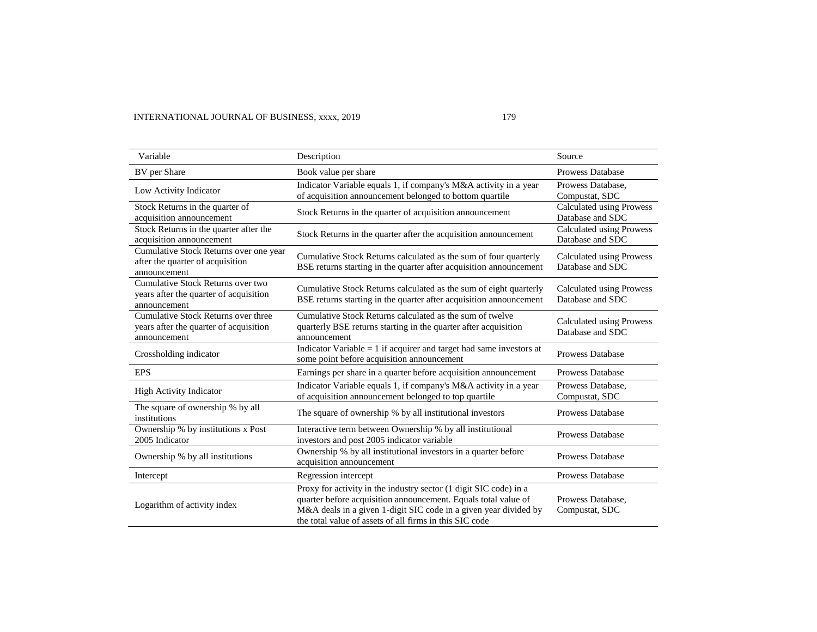| Variable                                                                                      | Description                                                                                                                                                                                                                                                        | Source                                              |
|-----------------------------------------------------------------------------------------------|--------------------------------------------------------------------------------------------------------------------------------------------------------------------------------------------------------------------------------------------------------------------|-----------------------------------------------------|
| BV per Share                                                                                  | Book value per share                                                                                                                                                                                                                                               | Prowess Database                                    |
| Low Activity Indicator                                                                        | Indicator Variable equals 1, if company's M&A activity in a year<br>of acquisition announcement belonged to bottom quartile                                                                                                                                        | Prowess Database,<br>Compustat, SDC                 |
| Stock Returns in the quarter of<br>acquisition announcement                                   | Stock Returns in the quarter of acquisition announcement                                                                                                                                                                                                           | Calculated using Prowess<br>Database and SDC        |
| Stock Returns in the quarter after the<br>acquisition announcement                            | Stock Returns in the quarter after the acquisition announcement                                                                                                                                                                                                    | <b>Calculated using Prowess</b><br>Database and SDC |
| Cumulative Stock Returns over one year<br>after the quarter of acquisition<br>announcement    | Cumulative Stock Returns calculated as the sum of four quarterly<br>BSE returns starting in the quarter after acquisition announcement                                                                                                                             | Calculated using Prowess<br>Database and SDC        |
| Cumulative Stock Returns over two<br>years after the quarter of acquisition<br>announcement   | Cumulative Stock Returns calculated as the sum of eight quarterly<br>BSE returns starting in the quarter after acquisition announcement                                                                                                                            | <b>Calculated using Prowess</b><br>Database and SDC |
| Cumulative Stock Returns over three<br>years after the quarter of acquisition<br>announcement | Cumulative Stock Returns calculated as the sum of twelve<br>quarterly BSE returns starting in the quarter after acquisition<br>announcement                                                                                                                        | <b>Calculated using Prowess</b><br>Database and SDC |
| Crossholding indicator                                                                        | Indicator Variable = $1$ if acquirer and target had same investors at<br>some point before acquisition announcement                                                                                                                                                | <b>Prowess Database</b>                             |
| <b>EPS</b>                                                                                    | Earnings per share in a quarter before acquisition announcement                                                                                                                                                                                                    | <b>Prowess Database</b>                             |
| <b>High Activity Indicator</b>                                                                | Indicator Variable equals 1, if company's M&A activity in a year<br>of acquisition announcement belonged to top quartile                                                                                                                                           | Prowess Database,<br>Compustat, SDC                 |
| The square of ownership % by all<br>institutions                                              | The square of ownership % by all institutional investors                                                                                                                                                                                                           | <b>Prowess Database</b>                             |
| Ownership % by institutions x Post<br>2005 Indicator                                          | Interactive term between Ownership % by all institutional<br>investors and post 2005 indicator variable                                                                                                                                                            | <b>Prowess Database</b>                             |
| Ownership % by all institutions                                                               | Ownership % by all institutional investors in a quarter before<br>acquisition announcement                                                                                                                                                                         | <b>Prowess Database</b>                             |
| Intercept                                                                                     | Regression intercept                                                                                                                                                                                                                                               | <b>Prowess Database</b>                             |
| Logarithm of activity index                                                                   | Proxy for activity in the industry sector (1 digit SIC code) in a<br>quarter before acquisition announcement. Equals total value of<br>M&A deals in a given 1-digit SIC code in a given year divided by<br>the total value of assets of all firms in this SIC code | Prowess Database,<br>Compustat, SDC                 |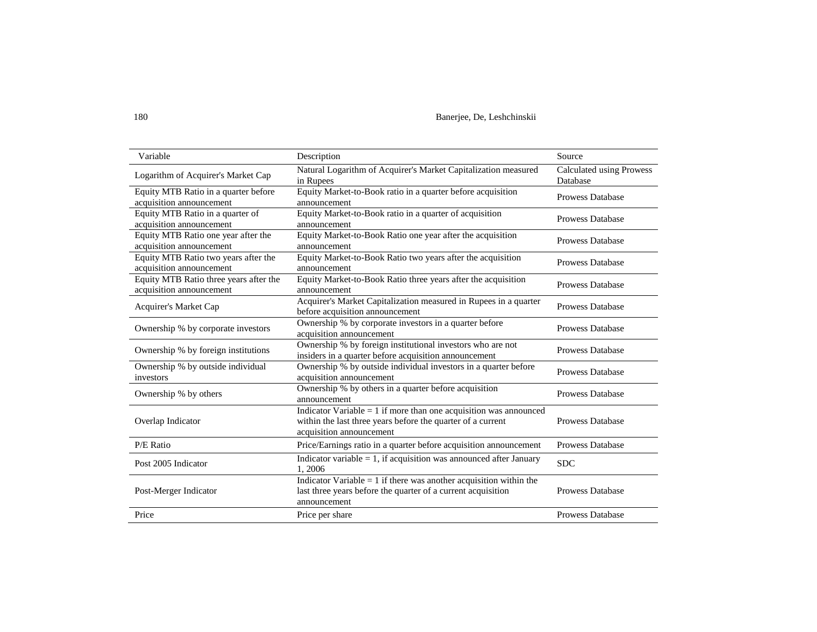180 Banerjee, De, Leshchinskii

| Variable                                                           | Description                                                                                                                                                     | Source                               |
|--------------------------------------------------------------------|-----------------------------------------------------------------------------------------------------------------------------------------------------------------|--------------------------------------|
| Logarithm of Acquirer's Market Cap                                 | Natural Logarithm of Acquirer's Market Capitalization measured<br>in Rupees                                                                                     | Calculated using Prowess<br>Database |
| Equity MTB Ratio in a quarter before<br>acquisition announcement   | Equity Market-to-Book ratio in a quarter before acquisition<br>announcement                                                                                     | <b>Prowess Database</b>              |
| Equity MTB Ratio in a quarter of<br>acquisition announcement       | Equity Market-to-Book ratio in a quarter of acquisition<br>announcement                                                                                         | <b>Prowess Database</b>              |
| Equity MTB Ratio one year after the<br>acquisition announcement    | Equity Market-to-Book Ratio one year after the acquisition<br>announcement                                                                                      | <b>Prowess Database</b>              |
| Equity MTB Ratio two years after the<br>acquisition announcement   | Equity Market-to-Book Ratio two years after the acquisition<br>announcement                                                                                     | <b>Prowess Database</b>              |
| Equity MTB Ratio three years after the<br>acquisition announcement | Equity Market-to-Book Ratio three years after the acquisition<br>announcement                                                                                   | <b>Prowess Database</b>              |
| <b>Acquirer's Market Cap</b>                                       | Acquirer's Market Capitalization measured in Rupees in a quarter<br>before acquisition announcement                                                             | <b>Prowess Database</b>              |
| Ownership % by corporate investors                                 | Ownership % by corporate investors in a quarter before<br>acquisition announcement                                                                              | <b>Prowess Database</b>              |
| Ownership % by foreign institutions                                | Ownership % by foreign institutional investors who are not<br>insiders in a quarter before acquisition announcement                                             | <b>Prowess Database</b>              |
| Ownership % by outside individual<br>investors                     | Ownership % by outside individual investors in a quarter before<br>acquisition announcement                                                                     | <b>Prowess Database</b>              |
| Ownership % by others                                              | Ownership % by others in a quarter before acquisition<br>announcement                                                                                           | <b>Prowess Database</b>              |
| Overlap Indicator                                                  | Indicator Variable $= 1$ if more than one acquisition was announced<br>within the last three years before the quarter of a current<br>acquisition announcement  | <b>Prowess Database</b>              |
| P/E Ratio                                                          | Price/Earnings ratio in a quarter before acquisition announcement                                                                                               | <b>Prowess Database</b>              |
| Post 2005 Indicator                                                | Indicator variable $= 1$ , if acquisition was announced after January<br>1,2006                                                                                 | <b>SDC</b>                           |
| Post-Merger Indicator                                              | Indicator $\overline{Variable} = 1$ if there was another acquisition within the<br>last three years before the quarter of a current acquisition<br>announcement | <b>Prowess Database</b>              |
| Price                                                              | Price per share                                                                                                                                                 | <b>Prowess Database</b>              |